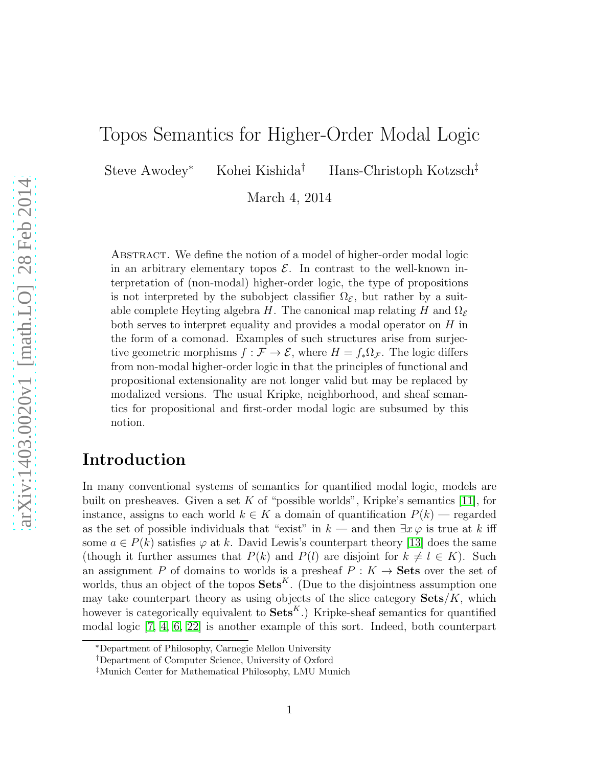# Topos Semantics for Higher-Order Modal Logic

Steve Awodey<sup>∗</sup> Kohei Kishida† Hans-Christoph Kotzsch‡

March 4, 2014

ABSTRACT. We define the notion of a model of higher-order modal logic in an arbitrary elementary topos  $\mathcal{E}$ . In contrast to the well-known interpretation of (non-modal) higher-order logic, the type of propositions is not interpreted by the subobject classifier  $\Omega_{\mathcal{E}}$ , but rather by a suitable complete Heyting algebra H. The canonical map relating H and  $\Omega_{\mathcal{E}}$ both serves to interpret equality and provides a modal operator on H in the form of a comonad. Examples of such structures arise from surjective geometric morphisms  $f : \mathcal{F} \to \mathcal{E}$ , where  $H = f_* \Omega_{\mathcal{F}}$ . The logic differs from non-modal higher-order logic in that the principles of functional and propositional extensionality are not longer valid but may be replaced by modalized versions. The usual Kripke, neighborhood, and sheaf semantics for propositional and first-order modal logic are subsumed by this notion.

## Introduction

In many conventional systems of semantics for quantified modal logic, models are built on presheaves. Given a set K of "possible worlds", Kripke's semantics [\[11\]](#page-40-0), for instance, assigns to each world  $k \in K$  a domain of quantification  $P(k)$  — regarded as the set of possible individuals that "exist" in  $k$  — and then  $\exists x \varphi$  is true at k iff some  $a \in P(k)$  satisfies  $\varphi$  at k. David Lewis's counterpart theory [\[13\]](#page-40-1) does the same (though it further assumes that  $P(k)$  and  $P(l)$  are disjoint for  $k \neq l \in K$ ). Such an assignment P of domains to worlds is a presheaf  $P: K \to \mathbf{Sets}$  over the set of worlds, thus an object of the topos  $\textbf{Sets}^K$ . (Due to the disjointness assumption one may take counterpart theory as using objects of the slice category  $\textbf{Sets}/K$ , which however is categorically equivalent to  $\textbf{Sets}^K$ .) Kripke-sheaf semantics for quantified modal logic [\[7,](#page-39-0) [4,](#page-39-1) [6,](#page-39-2) [22\]](#page-40-2) is another example of this sort. Indeed, both counterpart

<sup>∗</sup>Department of Philosophy, Carnegie Mellon University

<sup>†</sup>Department of Computer Science, University of Oxford

<sup>‡</sup>Munich Center for Mathematical Philosophy, LMU Munich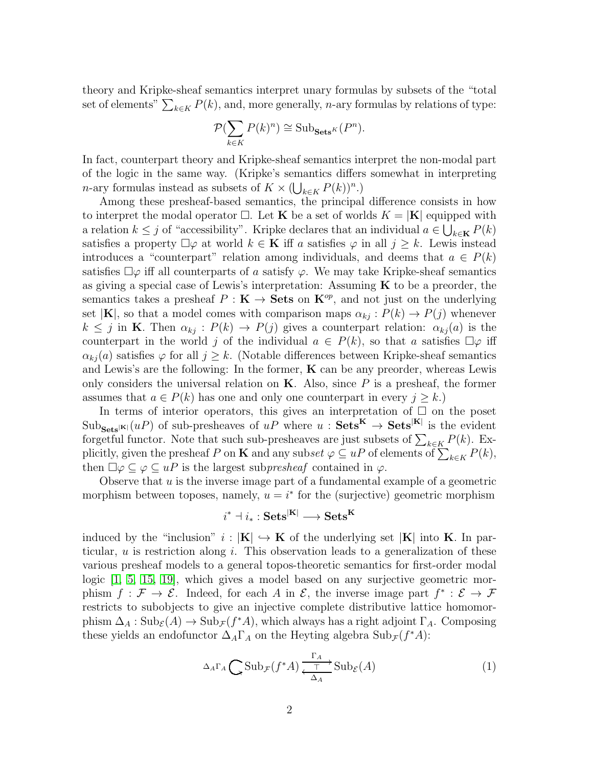theory and Kripke-sheaf semantics interpret unary formulas by subsets of the "total set of elements"  $\sum_{k \in K} P(k)$ , and, more generally, *n*-ary formulas by relations of type:

$$
\mathcal{P}(\sum_{k\in K} P(k)^n) \cong \mathrm{Sub}_{\mathbf{Sets}^K}(P^n).
$$

In fact, counterpart theory and Kripke-sheaf semantics interpret the non-modal part of the logic in the same way. (Kripke's semantics differs somewhat in interpreting *n*-ary formulas instead as subsets of  $K \times (\bigcup_{k \in K} P(k))^n$ .)

Among these presheaf-based semantics, the principal difference consists in how to interpret the modal operator  $\Box$ . Let **K** be a set of worlds  $K = |\mathbf{K}|$  equipped with a relation  $k \leq j$  of "accessibility". Kripke declares that an individual  $a \in \bigcup_{k \in \mathbf{K}} P(k)$ satisfies a property  $\Box \varphi$  at world  $k \in \mathbf{K}$  iff a satisfies  $\varphi$  in all  $j \geq k$ . Lewis instead introduces a "counterpart" relation among individuals, and deems that  $a \in P(k)$ satisfies  $\Box \varphi$  iff all counterparts of a satisfy  $\varphi$ . We may take Kripke-sheaf semantics as giving a special case of Lewis's interpretation: Assuming K to be a preorder, the semantics takes a presheaf  $P : K \to \mathbf{Sets}$  on  $K^{op}$ , and not just on the underlying set  $|\mathbf{K}|$ , so that a model comes with comparison maps  $\alpha_{kj}: P(k) \to P(j)$  whenever  $k \leq j$  in **K**. Then  $\alpha_{kj} : P(k) \to P(j)$  gives a counterpart relation:  $\alpha_{kj}(a)$  is the counterpart in the world j of the individual  $a \in P(k)$ , so that a satisfies  $\Box \varphi$  iff  $\alpha_{ki}(a)$  satisfies  $\varphi$  for all  $j \geq k$ . (Notable differences between Kripke-sheaf semantics and Lewis's are the following: In the former,  $\bf{K}$  can be any preorder, whereas Lewis only considers the universal relation on  $\mathbf K$ . Also, since  $P$  is a presheaf, the former assumes that  $a \in P(k)$  has one and only one counterpart in every  $j \geq k$ .

In terms of interior operators, this gives an interpretation of  $\Box$  on the poset  $\text{Sub}_{\text{Sets}}[u]$  of sub-presheaves of  $uP$  where  $u: \text{Sets}^{\mathbf{K}} \to \text{Sets}^{|\mathbf{K}|}$  is the evident forgetful functor. Note that such sub-presheaves are just subsets of  $\sum_{k\in K} P(k)$ . Explicitly, given the presheaf P on **K** and any subset  $\varphi \subseteq uP$  of elements of  $\sum_{k \in K} P(k)$ , then  $\Box \varphi \subseteq \varphi \subseteq uP$  is the largest subpresheaf contained in  $\varphi$ .

Observe that  $u$  is the inverse image part of a fundamental example of a geometric morphism between toposes, namely,  $u = i^*$  for the (surjective) geometric morphism

$$
i^* \dashv i_* : \mathbf{Sets}^{|\mathbf{K}|} \longrightarrow \mathbf{Sets}^\mathbf{K}
$$

induced by the "inclusion"  $i: |\mathbf{K}| \hookrightarrow \mathbf{K}$  of the underlying set  $|\mathbf{K}|$  into **K**. In particular,  $u$  is restriction along  $i$ . This observation leads to a generalization of these various presheaf models to a general topos-theoretic semantics for first-order modal logic [\[1,](#page-39-3) [5,](#page-39-4) [15,](#page-40-3) [19\]](#page-40-4), which gives a model based on any surjective geometric morphism  $f: \mathcal{F} \to \mathcal{E}$ . Indeed, for each A in  $\mathcal{E}$ , the inverse image part  $f^* : \mathcal{E} \to \mathcal{F}$ restricts to subobjects to give an injective complete distributive lattice homomorphism  $\Delta_A : Sub_{\mathcal{E}}(A) \to Sub_{\mathcal{F}}(f^*A)$ , which always has a right adjoint  $\Gamma_A$ . Composing these yields an endofunctor  $\Delta_A \Gamma_A$  on the Heyting algebra  $\text{Sub}_{\mathcal{F}}(f^*A)$ :

<span id="page-1-0"></span>
$$
\Delta_A \Gamma_A \bigcirc \text{Sub}_{\mathcal{F}}(f^*A) \xrightarrow{\Gamma_A} \text{Sub}_{\mathcal{E}}(A) \tag{1}
$$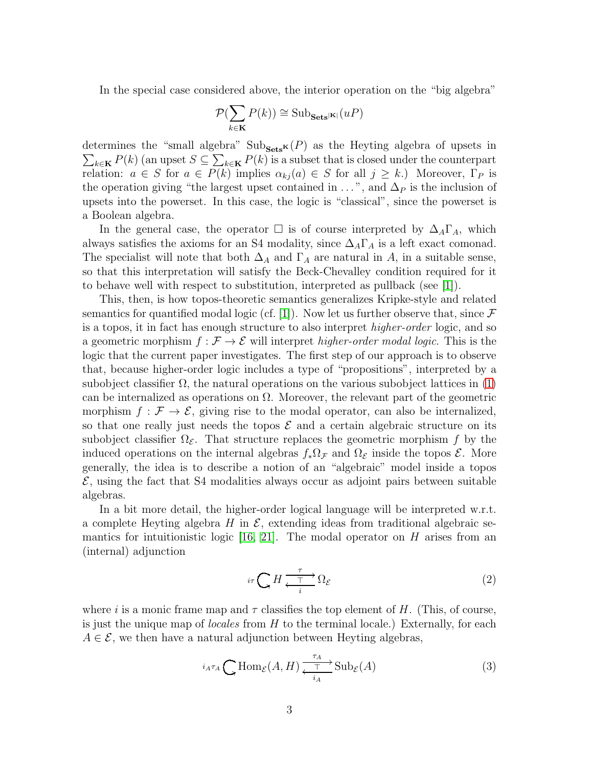In the special case considered above, the interior operation on the "big algebra"

$$
\mathcal{P}(\sum_{k \in \mathbf{K}} P(k)) \cong \text{Sub}_{\mathbf{Sets}^{|\mathbf{K}|}}(uP)
$$

determines the "small algebra"  $\text{Sub}_{\text{Sets}}(P)$  as the Heyting algebra of upsets in  $\sum_{k\in\mathbf{K}} P(k)$  (an upset  $S\subseteq \sum_{k\in\mathbf{K}} P(k)$  is a subset that is closed under the counterpart relation:  $a \in S$  for  $a \in P(k)$  implies  $\alpha_{kj}(a) \in S$  for all  $j \geq k$ .) Moreover,  $\Gamma_P$  is the operation giving "the largest upset contained in  $\dots$ ", and  $\Delta_P$  is the inclusion of upsets into the powerset. In this case, the logic is "classical", since the powerset is a Boolean algebra.

In the general case, the operator  $\Box$  is of course interpreted by  $\Delta_A\Gamma_A$ , which always satisfies the axioms for an S4 modality, since  $\Delta_A\Gamma_A$  is a left exact comonad. The specialist will note that both  $\Delta_A$  and  $\Gamma_A$  are natural in A, in a suitable sense, so that this interpretation will satisfy the Beck-Chevalley condition required for it to behave well with respect to substitution, interpreted as pullback (see [\[1\]](#page-39-3)).

This, then, is how topos-theoretic semantics generalizes Kripke-style and related semantics for quantified modal logic (cf. [\[1\]](#page-39-3)). Now let us further observe that, since  $\mathcal F$ is a topos, it in fact has enough structure to also interpret *higher-order* logic, and so a geometric morphism  $f : \mathcal{F} \to \mathcal{E}$  will interpret higher-order modal logic. This is the logic that the current paper investigates. The first step of our approach is to observe that, because higher-order logic includes a type of "propositions", interpreted by a subobject classifier  $\Omega$ , the natural operations on the various subobject lattices in [\(1\)](#page-1-0) can be internalized as operations on  $\Omega$ . Moreover, the relevant part of the geometric morphism  $f : \mathcal{F} \to \mathcal{E}$ , giving rise to the modal operator, can also be internalized, so that one really just needs the topos  $\mathcal E$  and a certain algebraic structure on its subobject classifier  $\Omega_{\mathcal{E}}$ . That structure replaces the geometric morphism f by the induced operations on the internal algebras  $f_*\Omega_{\mathcal{F}}$  and  $\Omega_{\mathcal{E}}$  inside the topos  $\mathcal{E}$ . More generally, the idea is to describe a notion of an "algebraic" model inside a topos  $\mathcal{E}$ , using the fact that S4 modalities always occur as adjoint pairs between suitable algebras.

In a bit more detail, the higher-order logical language will be interpreted w.r.t. a complete Heyting algebra H in  $\mathcal{E}$ , extending ideas from traditional algebraic se-mantics for intuitionistic logic [\[16,](#page-40-5) [21\]](#page-40-6). The modal operator on  $H$  arises from an (internal) adjunction

<span id="page-2-0"></span>
$$
i\tau \bigcirc H \xrightarrow{\tau \atop t \to i} \Omega_{\mathcal{E}} \tag{2}
$$

where i is a monic frame map and  $\tau$  classifies the top element of H. (This, of course, is just the unique map of *locales* from  $H$  to the terminal locale.) Externally, for each  $A \in \mathcal{E}$ , we then have a natural adjunction between Heyting algebras,

$$
i_{A}\tau_{A} \bigcirc \text{Hom}_{\mathcal{E}}(A, H) \xrightarrow{\tau_{A}} \text{Sub}_{\mathcal{E}}(A)
$$
 (3)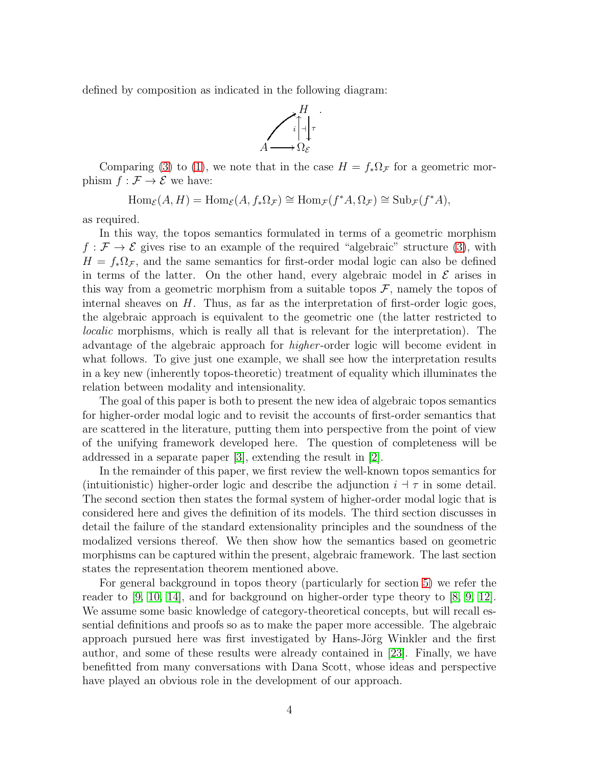defined by composition as indicated in the following diagram:



Comparing [\(3\)](#page-2-0) to [\(1\)](#page-1-0), we note that in the case  $H = f_*\Omega_{\mathcal{F}}$  for a geometric morphism  $f : \mathcal{F} \to \mathcal{E}$  we have:

$$
\operatorname{Hom}_{\mathcal{E}}(A, H) = \operatorname{Hom}_{\mathcal{E}}(A, f_* \Omega_{\mathcal{F}}) \cong \operatorname{Hom}_{\mathcal{F}}(f^* A, \Omega_{\mathcal{F}}) \cong \operatorname{Sub}_{\mathcal{F}}(f^* A),
$$

as required.

In this way, the topos semantics formulated in terms of a geometric morphism  $f : \mathcal{F} \to \mathcal{E}$  gives rise to an example of the required "algebraic" structure [\(3\)](#page-2-0), with  $H = f_* \Omega_{\mathcal{F}}$ , and the same semantics for first-order modal logic can also be defined in terms of the latter. On the other hand, every algebraic model in  $\mathcal E$  arises in this way from a geometric morphism from a suitable topos  $\mathcal{F}$ , namely the topos of internal sheaves on  $H$ . Thus, as far as the interpretation of first-order logic goes, the algebraic approach is equivalent to the geometric one (the latter restricted to localic morphisms, which is really all that is relevant for the interpretation). The advantage of the algebraic approach for higher -order logic will become evident in what follows. To give just one example, we shall see how the interpretation results in a key new (inherently topos-theoretic) treatment of equality which illuminates the relation between modality and intensionality.

The goal of this paper is both to present the new idea of algebraic topos semantics for higher-order modal logic and to revisit the accounts of first-order semantics that are scattered in the literature, putting them into perspective from the point of view of the unifying framework developed here. The question of completeness will be addressed in a separate paper [\[3\]](#page-39-5), extending the result in [\[2\]](#page-39-6).

In the remainder of this paper, we first review the well-known topos semantics for (intuitionistic) higher-order logic and describe the adjunction  $i \dagger \tau$  in some detail. The second section then states the formal system of higher-order modal logic that is considered here and gives the definition of its models. The third section discusses in detail the failure of the standard extensionality principles and the soundness of the modalized versions thereof. We then show how the semantics based on geometric morphisms can be captured within the present, algebraic framework. The last section states the representation theorem mentioned above.

For general background in topos theory (particularly for section [5\)](#page-37-0) we refer the reader to  $[9, 10, 14]$  $[9, 10, 14]$  $[9, 10, 14]$ , and for background on higher-order type theory to  $[8, 9, 12]$  $[8, 9, 12]$  $[8, 9, 12]$ . We assume some basic knowledge of category-theoretical concepts, but will recall essential definitions and proofs so as to make the paper more accessible. The algebraic approach pursued here was first investigated by Hans-Jörg Winkler and the first author, and some of these results were already contained in [\[23\]](#page-40-11). Finally, we have benefitted from many conversations with Dana Scott, whose ideas and perspective have played an obvious role in the development of our approach.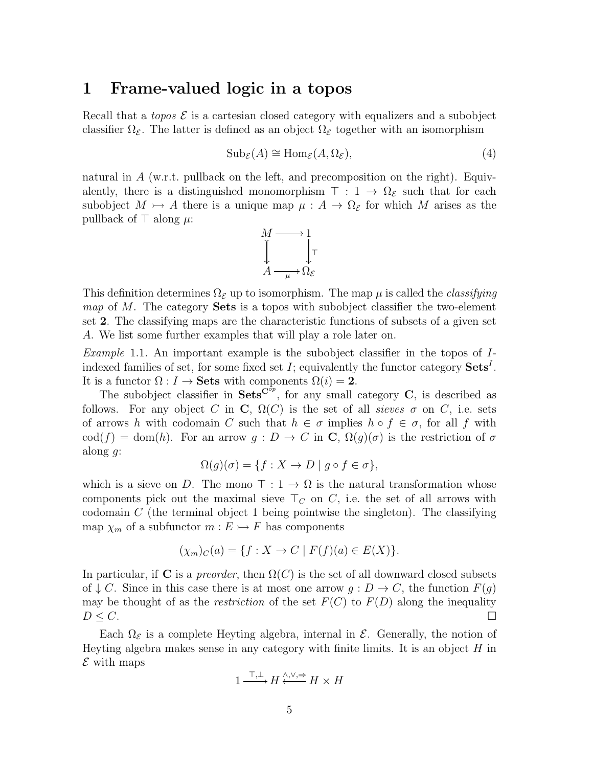#### 1 Frame-valued logic in a topos

Recall that a *topos*  $\mathcal{E}$  is a cartesian closed category with equalizers and a subobject classifier  $\Omega_{\mathcal{E}}$ . The latter is defined as an object  $\Omega_{\mathcal{E}}$  together with an isomorphism

<span id="page-4-0"></span>
$$
Sub_{\mathcal{E}}(A) \cong Hom_{\mathcal{E}}(A, \Omega_{\mathcal{E}}), \tag{4}
$$

natural in A (w.r.t. pullback on the left, and precomposition on the right). Equivalently, there is a distinguished monomorphism  $\top$  : 1  $\rightarrow \Omega_{\mathcal{E}}$  such that for each subobject  $M \rightarrow A$  there is a unique map  $\mu : A \rightarrow \Omega_{\mathcal{E}}$  for which M arises as the pullback of  $\top$  along  $\mu$ :



This definition determines  $\Omega_{\mathcal{E}}$  up to isomorphism. The map  $\mu$  is called the *classifying map* of M. The category **Sets** is a topos with subobject classifier the two-element set 2. The classifying maps are the characteristic functions of subsets of a given set A. We list some further examples that will play a role later on.

Example 1.1. An important example is the subobject classifier in the topos of Iindexed families of set, for some fixed set  $I$ ; equivalently the functor category  $\textbf{Sets}^I$ . It is a functor  $\Omega: I \to \mathbf{Sets}$  with components  $\Omega(i) = 2$ .

The subobject classifier in  $Sets^{C^{op}}$ , for any small category C, is described as follows. For any object C in C,  $\Omega(C)$  is the set of all sieves  $\sigma$  on C, i.e. sets of arrows h with codomain C such that  $h \in \sigma$  implies  $h \circ f \in \sigma$ , for all f with cod(f) = dom(h). For an arrow  $g: D \to C$  in  $\mathbb{C}, \Omega(g)(\sigma)$  is the restriction of  $\sigma$ along  $g$ :

$$
\Omega(g)(\sigma) = \{ f : X \to D \mid g \circ f \in \sigma \},
$$

which is a sieve on D. The mono  $\top : 1 \to \Omega$  is the natural transformation whose components pick out the maximal sieve  $\top_C$  on C, i.e. the set of all arrows with codomain C (the terminal object 1 being pointwise the singleton). The classifying map  $\chi_m$  of a subfunctor  $m: E \rightarrow F$  has components

$$
(\chi_m)_C(a) = \{ f : X \to C \mid F(f)(a) \in E(X) \}.
$$

In particular, if C is a *preorder*, then  $\Omega(C)$  is the set of all downward closed subsets of  $\downarrow$  C. Since in this case there is at most one arrow  $g: D \to C$ , the function  $F(g)$ may be thought of as the restriction of the set  $F(C)$  to  $F(D)$  along the inequality  $D \leq C$ .

Each  $\Omega_{\mathcal{E}}$  is a complete Heyting algebra, internal in  $\mathcal{E}$ . Generally, the notion of Heyting algebra makes sense in any category with finite limits. It is an object  $H$  in  $\mathcal E$  with maps

$$
1 \xrightarrow{\top, \perp} H \xleftarrow{\wedge, \vee, \Rightarrow} H \times H
$$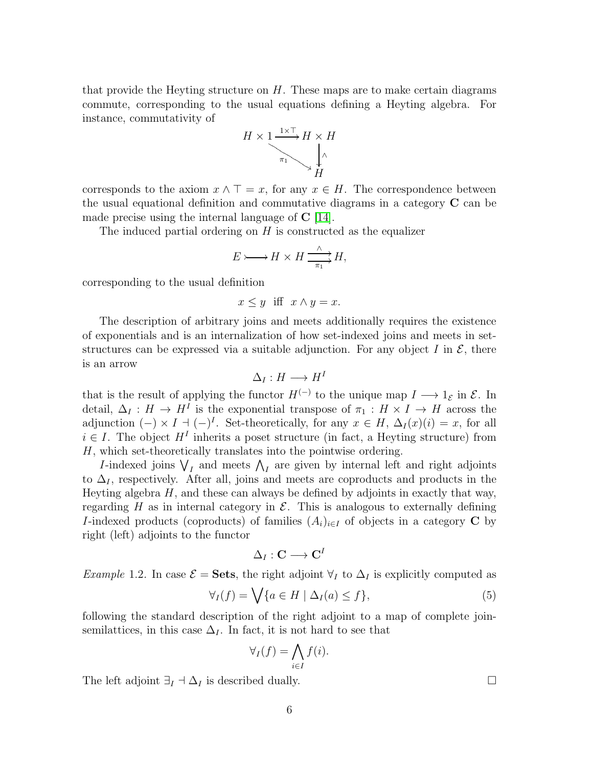that provide the Heyting structure on  $H$ . These maps are to make certain diagrams commute, corresponding to the usual equations defining a Heyting algebra. For instance, commutativity of



corresponds to the axiom  $x \wedge \top = x$ , for any  $x \in H$ . The correspondence between the usual equational definition and commutative diagrams in a category C can be made precise using the internal language of  $C$  [\[14\]](#page-40-9).

The induced partial ordering on  $H$  is constructed as the equalizer

$$
E \rightarrow H \times H \xrightarrow{\wedge} H,
$$

corresponding to the usual definition

$$
x \le y \quad \text{iff} \quad x \wedge y = x.
$$

The description of arbitrary joins and meets additionally requires the existence of exponentials and is an internalization of how set-indexed joins and meets in setstructures can be expressed via a suitable adjunction. For any object I in  $\mathcal{E}$ , there is an arrow

$$
\Delta_I: H \longrightarrow H^I
$$

that is the result of applying the functor  $H^{(-)}$  to the unique map  $I \longrightarrow 1_{\mathcal{E}}$  in  $\mathcal{E}$ . In detail,  $\Delta_I: H \to H^I$  is the exponential transpose of  $\pi_1: H \times I \to H$  across the adjunction  $(-) \times I \dashv (-)^I$ . Set-theoretically, for any  $x \in H$ ,  $\Delta_I(x)(i) = x$ , for all  $i \in I$ . The object  $H^I$  inherits a poset structure (in fact, a Heyting structure) from H, which set-theoretically translates into the pointwise ordering.

*I*-indexed joins  $\bigvee_I$  and meets  $\bigwedge_I$  are given by internal left and right adjoints to  $\Delta_I$ , respectively. After all, joins and meets are coproducts and products in the Heyting algebra  $H$ , and these can always be defined by adjoints in exactly that way, regarding H as in internal category in  $\mathcal E$ . This is analogous to externally defining I-indexed products (coproducts) of families  $(A_i)_{i\in I}$  of objects in a category C by right (left) adjoints to the functor

$$
\Delta_I : \mathbf{C} \longrightarrow \mathbf{C}^I
$$

<span id="page-5-0"></span>Example 1.2. In case  $\mathcal{E} = \mathbf{Sets}$ , the right adjoint  $\forall_I$  to  $\Delta_I$  is explicitly computed as

$$
\forall_{I}(f) = \bigvee \{a \in H \mid \Delta_{I}(a) \le f\},\tag{5}
$$

following the standard description of the right adjoint to a map of complete joinsemilattices, in this case  $\Delta_I$ . In fact, it is not hard to see that

$$
\forall_I(f) = \bigwedge_{i \in I} f(i).
$$

The left adjoint  $\exists_I \dashv \Delta_I$  is described dually.  $\Box$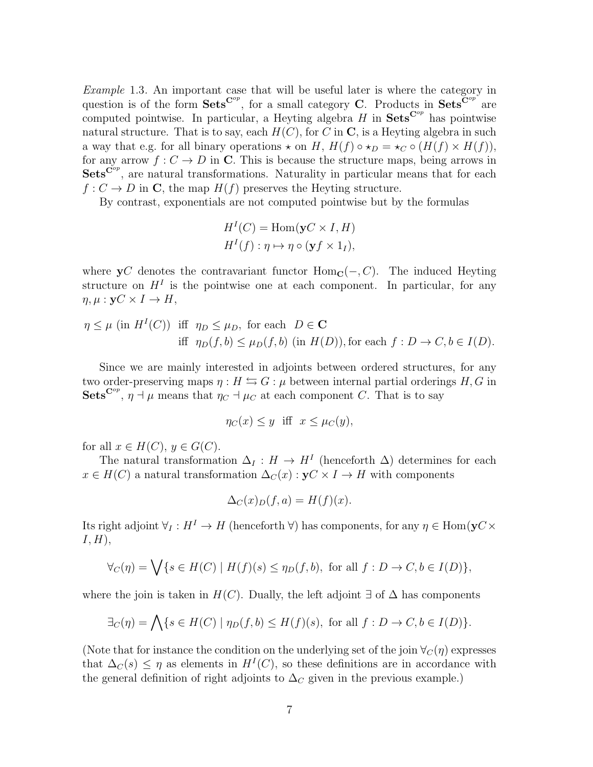Example 1.3. An important case that will be useful later is where the category in question is of the form Sets<sup>Cop</sup>, for a small category C. Products in Sets<sup>Cop</sup> are computed pointwise. In particular, a Heyting algebra  $H$  in  $\textbf{Sets}^{\mathbf{C}^{op}}$  has pointwise natural structure. That is to say, each  $H(C)$ , for C in C, is a Heyting algebra in such a way that e.g. for all binary operations  $\star$  on H,  $H(f) \circ \star_D = \star_C \circ (H(f) \times H(f)),$ for any arrow  $f: C \to D$  in C. This is because the structure maps, being arrows in  $Sets^{C^{op}}$ , are natural transformations. Naturality in particular means that for each  $f: C \to D$  in C, the map  $H(f)$  preserves the Heyting structure.

By contrast, exponentials are not computed pointwise but by the formulas

$$
H^{I}(C) = \text{Hom}(\mathbf{y}C \times I, H)
$$

$$
H^{I}(f) : \eta \mapsto \eta \circ (\mathbf{y}f \times 1_{I}),
$$

where  $yC$  denotes the contravariant functor  $Hom_C(-, C)$ . The induced Heyting structure on  $H<sup>I</sup>$  is the pointwise one at each component. In particular, for any  $\eta, \mu : \mathbf{v} C \times I \to H$ ,

$$
\eta \le \mu \text{ (in } H^I(C) \text{) iff } \eta_D \le \mu_D, \text{ for each } D \in \mathbf{C}
$$
  
iff  $\eta_D(f, b) \le \mu_D(f, b) \text{ (in } H(D) \text{), for each } f: D \to C, b \in I(D).$ 

Since we are mainly interested in adjoints between ordered structures, for any two order-preserving maps  $\eta : H \leftrightarrows G : \mu$  between internal partial orderings H, G in Sets<sup>Cop</sup>,  $\eta \to \mu$  means that  $\eta_C \to \mu_C$  at each component C. That is to say

$$
\eta_C(x) \le y \quad \text{iff} \quad x \le \mu_C(y),
$$

for all  $x \in H(C)$ ,  $y \in G(C)$ .

The natural transformation  $\Delta_I: H \to H^I$  (henceforth  $\Delta$ ) determines for each  $x \in H(C)$  a natural transformation  $\Delta_C(x) : yC \times I \to H$  with components

$$
\Delta_C(x)_D(f,a) = H(f)(x).
$$

Its right adjoint  $\forall I : H^I \to H$  (henceforth  $\forall$ ) has components, for any  $\eta \in \text{Hom}(\mathbf{y}C)$  $I, H$ ),

$$
\forall_C(\eta) = \bigvee \{ s \in H(C) \mid H(f)(s) \leq \eta_D(f, b), \text{ for all } f: D \to C, b \in I(D) \},
$$

where the join is taken in  $H(C)$ . Dually, the left adjoint  $\exists$  of  $\Delta$  has components

$$
\exists_C(\eta) = \bigwedge \{s \in H(C) \mid \eta_D(f, b) \leq H(f)(s), \text{ for all } f: D \to C, b \in I(D)\}.
$$

(Note that for instance the condition on the underlying set of the join  $\forall_C(\eta)$  expresses that  $\Delta_C(s) \leq \eta$  as elements in  $H^I(C)$ , so these definitions are in accordance with the general definition of right adjoints to  $\Delta_C$  given in the previous example.)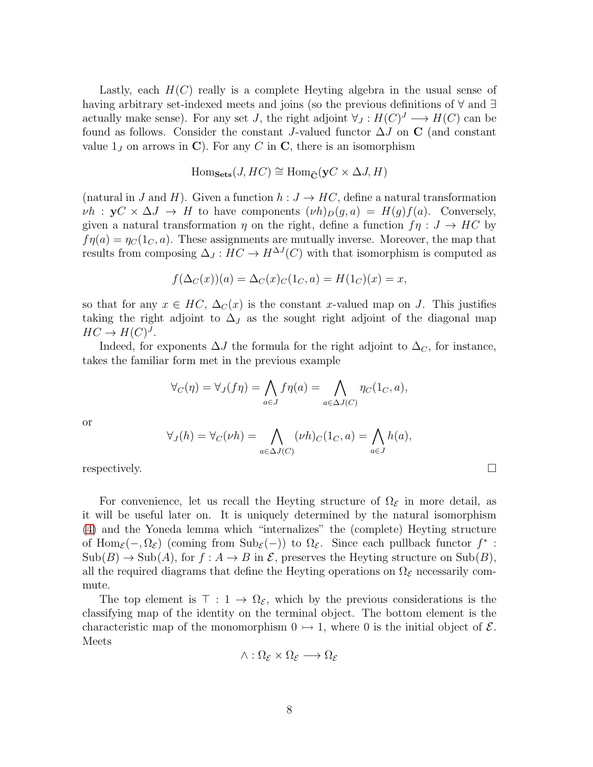Lastly, each  $H(C)$  really is a complete Heyting algebra in the usual sense of having arbitrary set-indexed meets and joins (so the previous definitions of ∀ and ∃ actually make sense). For any set J, the right adjoint  $\forall J : H(C)^J \longrightarrow H(C)$  can be found as follows. Consider the constant J-valued functor  $\Delta J$  on C (and constant value  $1_J$  on arrows in C). For any C in C, there is an isomorphism

$$
\text{Hom}_{\textbf{Sets}}(J, HC) \cong \text{Hom}_{\widehat{\mathbf{C}}}(\mathbf{y}C \times \Delta J, H)
$$

(natural in J and H). Given a function  $h: J \to HC$ , define a natural transformation  $\nu h$  :  $yC \times \Delta J \rightarrow H$  to have components  $(\nu h)_D(g, a) = H(g)f(a)$ . Conversely, given a natural transformation  $\eta$  on the right, define a function  $f\eta: J \to HC$  by  $f\eta(a) = \eta_C(1_C, a)$ . These assignments are mutually inverse. Moreover, the map that results from composing  $\Delta_J: HC \to H^{\Delta J}(C)$  with that isomorphism is computed as

$$
f(\Delta_C(x))(a) = \Delta_C(x)_C(1_C, a) = H(1_C)(x) = x,
$$

so that for any  $x \in HC$ ,  $\Delta_C(x)$  is the constant x-valued map on J. This justifies taking the right adjoint to  $\Delta_J$  as the sought right adjoint of the diagonal map  $HC \to H(C)^J$ .

Indeed, for exponents  $\Delta J$  the formula for the right adjoint to  $\Delta_C$ , for instance, takes the familiar form met in the previous example

$$
\forall_C(\eta) = \forall_J(f\eta) = \bigwedge_{a \in J} f\eta(a) = \bigwedge_{a \in \Delta J(C)} \eta_C(1_C, a),
$$

or

$$
\forall_J(h) = \forall_C(\nu h) = \bigwedge_{a \in \Delta J(C)} (\nu h)_C(1_C, a) = \bigwedge_{a \in J} h(a),
$$

respectively.

For convenience, let us recall the Heyting structure of  $\Omega_{\mathcal{E}}$  in more detail, as it will be useful later on. It is uniquely determined by the natural isomorphism [\(4\)](#page-4-0) and the Yoneda lemma which "internalizes" the (complete) Heyting structure of Hom<sub> $\varepsilon$ </sub> $(-, \Omega_{\varepsilon})$  (coming from Sub $\varepsilon$  $(-)$ ) to  $\Omega_{\varepsilon}$ . Since each pullback functor  $f^*$ :  $\text{Sub}(B) \to \text{Sub}(A)$ , for  $f : A \to B$  in  $\mathcal{E}$ , preserves the Heyting structure on  $\text{Sub}(B)$ , all the required diagrams that define the Heyting operations on  $\Omega_{\mathcal{E}}$  necessarily commute.

The top element is  $\top : 1 \to \Omega_{\mathcal{E}}$ , which by the previous considerations is the classifying map of the identity on the terminal object. The bottom element is the characteristic map of the monomorphism  $0 \rightarrow 1$ , where 0 is the initial object of  $\mathcal{E}$ . Meets

$$
\wedge : \Omega_{\mathcal{E}} \times \Omega_{\mathcal{E}} \longrightarrow \Omega_{\mathcal{E}}
$$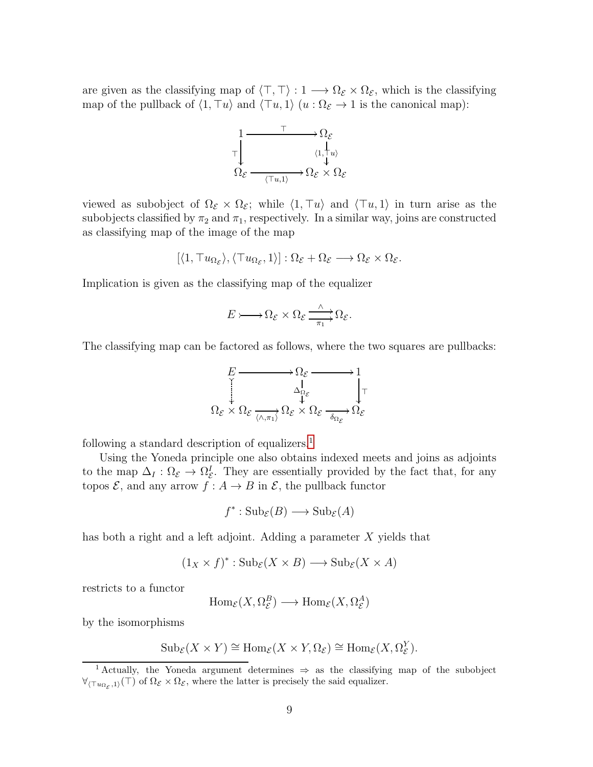are given as the classifying map of  $\langle \top, \top \rangle : 1 \longrightarrow \Omega_{\mathcal{E}} \times \Omega_{\mathcal{E}}$ , which is the classifying map of the pullback of  $\langle 1, \top u \rangle$  and  $\langle \top u, 1 \rangle$   $(u : \Omega_{\mathcal{E}} \to 1$  is the canonical map):



viewed as subobject of  $\Omega_{\mathcal{E}} \times \Omega_{\mathcal{E}}$ ; while  $\langle 1, \top u \rangle$  and  $\langle \top u, 1 \rangle$  in turn arise as the subobjects classified by  $\pi_2$  and  $\pi_1$ , respectively. In a similar way, joins are constructed as classifying map of the image of the map

$$
[\langle 1, \top u_{\Omega_{\mathcal{E}}}\rangle, \langle \top u_{\Omega_{\mathcal{E}}}, 1\rangle]: \Omega_{\mathcal{E}} + \Omega_{\mathcal{E}} \longrightarrow \Omega_{\mathcal{E}} \times \Omega_{\mathcal{E}}.
$$

Implication is given as the classifying map of the equalizer

$$
E \rightarrow \Omega_{\mathcal{E}} \times \Omega_{\mathcal{E}} \xrightarrow{\wedge} \Omega_{\mathcal{E}}.
$$

The classifying map can be factored as follows, where the two squares are pullbacks:

$$
\begin{array}{ccc}\nE & \longrightarrow & \Omega_{\mathcal{E}} & \longrightarrow & 1 \\
\downarrow & & \downarrow & & \downarrow \\
\Omega_{\mathcal{E}} & \times & \Omega_{\mathcal{E}} & \downarrow & \downarrow \\
\Omega_{\mathcal{E}} & \times & \Omega_{\mathcal{E}} & \downarrow & \Omega_{\mathcal{E}} \\
\end{array}
$$

following a standard description of equalizers.<sup>[1](#page-8-0)</sup>

Using the Yoneda principle one also obtains indexed meets and joins as adjoints to the map  $\Delta_I : \Omega_{\mathcal{E}} \to \Omega_{\mathcal{E}}^I$ . They are essentially provided by the fact that, for any topos  $\mathcal{E}$ , and any arrow  $f: A \to B$  in  $\mathcal{E}$ , the pullback functor

$$
f^* : \mathrm{Sub}_{\mathcal{E}}(B) \longrightarrow \mathrm{Sub}_{\mathcal{E}}(A)
$$

has both a right and a left adjoint. Adding a parameter  $X$  yields that

$$
(1_X \times f)^* : \operatorname{Sub}_{\mathcal{E}}(X \times B) \longrightarrow \operatorname{Sub}_{\mathcal{E}}(X \times A)
$$

restricts to a functor

$$
\text{Hom}_{\mathcal{E}}(X, \Omega_{\mathcal{E}}^B) \longrightarrow \text{Hom}_{\mathcal{E}}(X, \Omega_{\mathcal{E}}^A)
$$

by the isomorphisms

$$
\mathrm{Sub}_{\mathcal{E}}(X \times Y) \cong \mathrm{Hom}_{\mathcal{E}}(X \times Y, \Omega_{\mathcal{E}}) \cong \mathrm{Hom}_{\mathcal{E}}(X, \Omega_{\mathcal{E}}^Y).
$$

<span id="page-8-0"></span><sup>1</sup> Actually, the Yoneda argument determines ⇒ as the classifying map of the subobject  $\forall_{\langle \top u_{\Omega_{\mathcal{E}},1} \rangle}(\top)$  of  $\Omega_{\mathcal{E}} \times \Omega_{\mathcal{E}}$ , where the latter is precisely the said equalizer.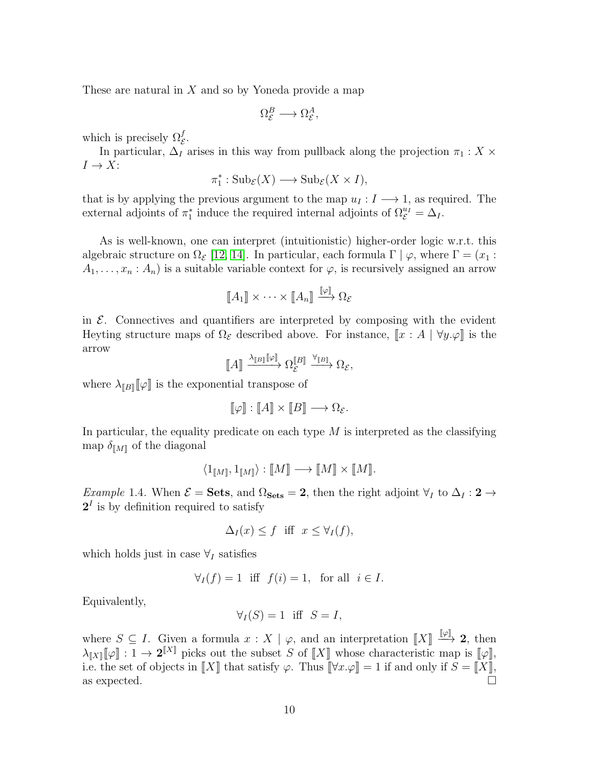These are natural in  $X$  and so by Yoneda provide a map

$$
\Omega^B_{\mathcal{E}} \longrightarrow \Omega^A_{\mathcal{E}},
$$

which is precisely  $\Omega_{\mathcal{E}}^{f}$ .

In particular,  $\Delta_I$  arises in this way from pullback along the projection  $\pi_1 : X \times$  $I \to X$ :

$$
\pi_1^* : \mathrm{Sub}_{\mathcal{E}}(X) \longrightarrow \mathrm{Sub}_{\mathcal{E}}(X \times I),
$$

that is by applying the previous argument to the map  $u_I : I \longrightarrow 1$ , as required. The external adjoints of  $\pi_1^*$  induce the required internal adjoints of  $\Omega_{\mathcal{E}}^{u_I} = \Delta_I$ .

As is well-known, one can interpret (intuitionistic) higher-order logic w.r.t. this algebraic structure on  $\Omega_{\mathcal{E}}$  [\[12,](#page-40-10) [14\]](#page-40-9). In particular, each formula  $\Gamma \mid \varphi$ , where  $\Gamma = (x_1 :$  $A_1, \ldots, x_n : A_n$  is a suitable variable context for  $\varphi$ , is recursively assigned an arrow

$$
\llbracket A_1 \rrbracket \times \cdots \times \llbracket A_n \rrbracket \xrightarrow{\llbracket \varphi \rrbracket} \Omega_{\mathcal{E}}
$$

in  $\mathcal{E}$ . Connectives and quantifiers are interpreted by composing with the evident Heyting structure maps of  $\Omega_{\mathcal{E}}$  described above. For instance,  $\llbracket x : A \mid \forall y \varphi \rrbracket$  is the arrow

$$
\llbracket A \rrbracket \xrightarrow{\lambda_{\llbracket B \rrbracket} \llbracket \varphi \rrbracket} \Omega_{\mathcal{E}}^{\llbracket B \rrbracket} \xrightarrow{\forall_{\llbracket B \rrbracket}} \Omega_{\mathcal{E}},
$$

where  $\lambda_{\llbracket B \rrbracket}[\![\varphi]\!]$  is the exponential transpose of

$$
[\![\varphi]\!] : [\![A]\!] \times [\![B]\!] \longrightarrow \Omega_{\mathcal{E}}.
$$

In particular, the equality predicate on each type  $M$  is interpreted as the classifying map  $\delta_{\llbracket M \rrbracket}$  of the diagonal

$$
\langle 1_{[\![M]\!]},1_{[\![M]\!]}\rangle : [\![M]\!] \longrightarrow [\![M]\!] \times [\![M]\!].
$$

Example 1.4. When  $\mathcal{E} = \mathbf{Sets}$ , and  $\Omega_{\mathbf{Sets}} = 2$ , then the right adjoint  $\forall_I$  to  $\Delta_I : 2 \rightarrow$  $2<sup>I</sup>$  is by definition required to satisfy

$$
\Delta_I(x) \le f \quad \text{iff} \quad x \le \forall_I(f),
$$

which holds just in case  $\forall I$  satisfies

$$
\forall_I(f) = 1 \text{ iff } f(i) = 1, \text{ for all } i \in I.
$$

Equivalently,

$$
\forall_I(S) = 1 \text{ iff } S = I,
$$

where  $S \subseteq I$ . Given a formula  $x : X \mid \varphi$ , and an interpretation  $\llbracket X \rrbracket \stackrel{\llbracket \varphi \rrbracket}{\longrightarrow} 2$ , then  $\lambda_{\llbracket X \rrbracket}[\![\varphi]\!] : 1 \to 2^{\llbracket X \rrbracket}$  picks out the subset S of  $\llbracket X \rrbracket$  whose characteristic map is  $[\![\varphi]\!]$ , i.e. the set of objects in  $\llbracket X \rrbracket$  that satisfy  $\varphi$ . Thus  $\llbracket \forall x.\varphi \rrbracket = 1$  if and only if  $S = \llbracket X \rrbracket$ , as expected.  $\square$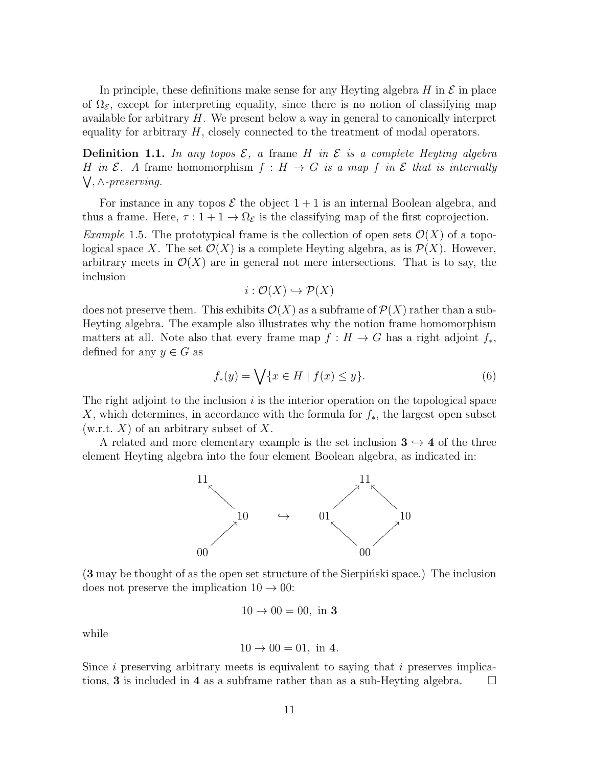In principle, these definitions make sense for any Heyting algebra  $H$  in  $\mathcal E$  in place of  $\Omega_{\mathcal{E}}$ , except for interpreting equality, since there is no notion of classifying map available for arbitrary  $H$ . We present below a way in general to canonically interpret equality for arbitrary  $H$ , closely connected to the treatment of modal operators.

**Definition 1.1.** In any topos  $\mathcal{E}$ , a frame H in  $\mathcal{E}$  is a complete Heyting algebra H in  $\mathcal E$ . A frame homomorphism  $f : H \to G$  is a map f in  $\mathcal E$  that is internally W , ∧-preserving.

For instance in any topos  $\mathcal E$  the object  $1+1$  is an internal Boolean algebra, and thus a frame. Here,  $\tau : 1 + 1 \to \Omega_{\mathcal{E}}$  is the classifying map of the first coprojection.

<span id="page-10-0"></span>*Example* 1.5. The prototypical frame is the collection of open sets  $\mathcal{O}(X)$  of a topological space X. The set  $\mathcal{O}(X)$  is a complete Heyting algebra, as is  $\mathcal{P}(X)$ . However, arbitrary meets in  $\mathcal{O}(X)$  are in general not mere intersections. That is to say, the inclusion

$$
i: \mathcal{O}(X) \hookrightarrow \mathcal{P}(X)
$$

does not preserve them. This exhibits  $\mathcal{O}(X)$  as a subframe of  $\mathcal{P}(X)$  rather than a sub-Heyting algebra. The example also illustrates why the notion frame homomorphism matters at all. Note also that every frame map  $f : H \to G$  has a right adjoint  $f_*$ , defined for any  $y \in G$  as

<span id="page-10-1"></span>
$$
f_*(y) = \bigvee \{ x \in H \mid f(x) \le y \}. \tag{6}
$$

The right adjoint to the inclusion  $i$  is the interior operation on the topological space X, which determines, in accordance with the formula for  $f_*$ , the largest open subset  $(w.r.t. X)$  of an arbitrary subset of X.

A related and more elementary example is the set inclusion  $3 \rightarrow 4$  of the three element Heyting algebra into the four element Boolean algebra, as indicated in:



 $(3 \text{ may be thought of as the open set structure of the Sierpiński space.)$  The inclusion does not preserve the implication  $10 \rightarrow 00$ :

$$
10 \to 00 = 00
$$
, in 3

while

$$
10 \to 00 = 01
$$
, in 4.

Since  $i$  preserving arbitrary meets is equivalent to saying that  $i$  preserves implications, **3** is included in 4 as a subframe rather than as a sub-Heyting algebra.  $\Box$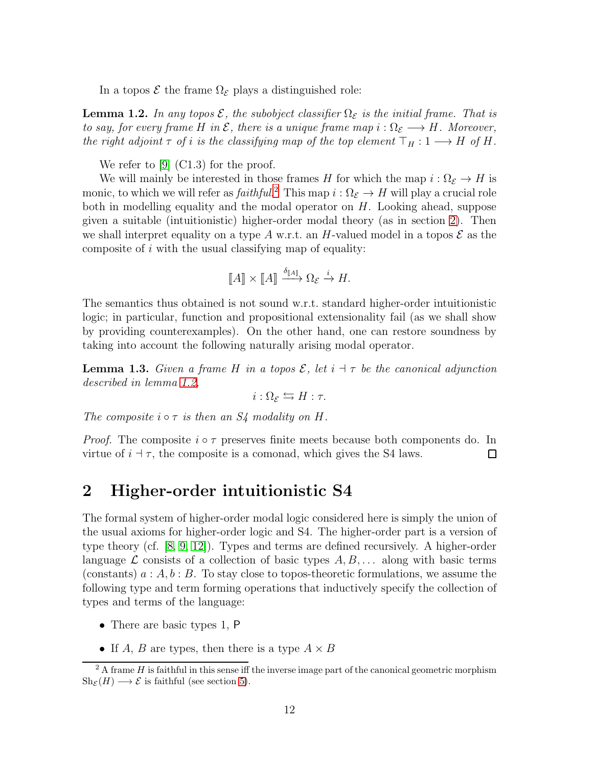In a topos  $\mathcal E$  the frame  $\Omega_{\mathcal E}$  plays a distinguished role:

<span id="page-11-2"></span>**Lemma 1.2.** In any topos  $\mathcal{E}$ , the subobject classifier  $\Omega_{\mathcal{E}}$  is the initial frame. That is to say, for every frame H in  $\mathcal E$ , there is a unique frame map  $i:\Omega_{\mathcal E}\longrightarrow H$ . Moreover, the right adjoint  $\tau$  of i is the classifying map of the top element  $\top_H : 1 \longrightarrow H$  of H.

We refer to [\[9\]](#page-40-7) (C1.3) for the proof.

We will mainly be interested in those frames H for which the map  $i : \Omega_{\mathcal{E}} \to H$  is monic, to which we will refer as  $faithful.^2$  $faithful.^2$  This map  $i: \Omega_{\mathcal{E}} \to H$  will play a crucial role both in modelling equality and the modal operator on  $H$ . Looking ahead, suppose given a suitable (intuitionistic) higher-order modal theory (as in section [2\)](#page-11-1). Then we shall interpret equality on a type A w.r.t. an H-valued model in a topos  $\mathcal E$  as the composite of  $i$  with the usual classifying map of equality:

$$
\llbracket A \rrbracket \times \llbracket A \rrbracket \xrightarrow{\delta_{\llbracket A \rrbracket} \Omega_{\mathcal{E}} \xrightarrow{i} H.
$$

The semantics thus obtained is not sound w.r.t. standard higher-order intuitionistic logic; in particular, function and propositional extensionality fail (as we shall show by providing counterexamples). On the other hand, one can restore soundness by taking into account the following naturally arising modal operator.

**Lemma 1.3.** Given a frame H in a topos  $\mathcal{E}$ , let  $i \dashv \tau$  be the canonical adjunction described in lemma [1.2,](#page-11-2)

 $i : \Omega_{\mathcal{E}} \leftrightarrows H : \tau.$ 

The composite  $i \circ \tau$  is then an  $S_4$  modality on H.

*Proof.* The composite  $i \circ \tau$  preserves finite meets because both components do. In virtue of  $i \doteq \tau$ , the composite is a comonad, which gives the S4 laws. □

### <span id="page-11-1"></span>2 Higher-order intuitionistic S4

The formal system of higher-order modal logic considered here is simply the union of the usual axioms for higher-order logic and S4. The higher-order part is a version of type theory (cf. [\[8,](#page-39-7) [9,](#page-40-7) [12\]](#page-40-10)). Types and terms are defined recursively. A higher-order language  $\mathcal L$  consists of a collection of basic types  $A, B, \ldots$  along with basic terms (constants)  $a : A, b : B$ . To stay close to topos-theoretic formulations, we assume the following type and term forming operations that inductively specify the collection of types and terms of the language:

- There are basic types 1, P
- If A, B are types, then there is a type  $A \times B$

<span id="page-11-0"></span> $2A$  frame H is faithful in this sense iff the inverse image part of the canonical geometric morphism  $\text{Sh}_{\mathcal{E}}(H) \longrightarrow \mathcal{E}$  is faithful (see section [5\)](#page-37-0).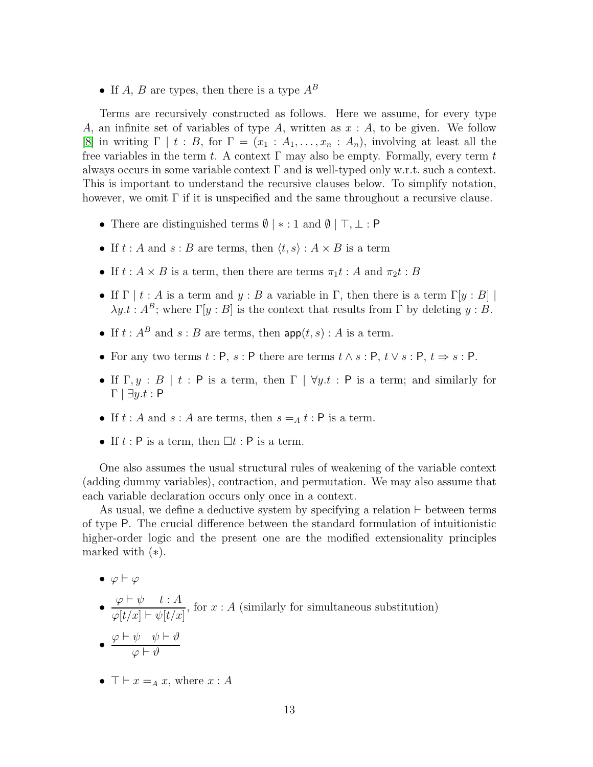• If A, B are types, then there is a type  $A^B$ 

Terms are recursively constructed as follows. Here we assume, for every type A, an infinite set of variables of type A, written as  $x : A$ , to be given. We follow [\[8\]](#page-39-7) in writing  $\Gamma | t : B$ , for  $\Gamma = (x_1 : A_1, \ldots, x_n : A_n)$ , involving at least all the free variables in the term t. A context  $\Gamma$  may also be empty. Formally, every term t always occurs in some variable context  $\Gamma$  and is well-typed only w.r.t. such a context. This is important to understand the recursive clauses below. To simplify notation, however, we omit  $\Gamma$  if it is unspecified and the same throughout a recursive clause.

- There are distinguished terms  $\emptyset$  |  $* : 1$  and  $\emptyset$  |  $\top, \bot : P$
- If  $t : A$  and  $s : B$  are terms, then  $\langle t, s \rangle : A \times B$  is a term
- If  $t : A \times B$  is a term, then there are terms  $\pi_1 t : A$  and  $\pi_2 t : B$
- If  $\Gamma | t : A$  is a term and  $y : B$  a variable in  $\Gamma$ , then there is a term  $\Gamma[y : B]$  $\lambda y.t : A^B$ ; where  $\Gamma[y : B]$  is the context that results from  $\Gamma$  by deleting  $y : B$ .
- If  $t : A^B$  and  $s : B$  are terms, then  $\textsf{app}(t, s) : A$  is a term.
- For any two terms  $t : P$ ,  $s : P$  there are terms  $t \wedge s : P$ ,  $t \vee s : P$ ,  $t \Rightarrow s : P$ .
- If  $\Gamma, y : B \mid t : P$  is a term, then  $\Gamma \mid \forall y \ldotp t : P$  is a term; and similarly for  $\Gamma \mid \exists y.t : P$
- If  $t : A$  and  $s : A$  are terms, then  $s = A t : P$  is a term.
- If  $t : P$  is a term, then  $\Box t : P$  is a term.

One also assumes the usual structural rules of weakening of the variable context (adding dummy variables), contraction, and permutation. We may also assume that each variable declaration occurs only once in a context.

As usual, we define a deductive system by specifying a relation ⊢ between terms of type P. The crucial difference between the standard formulation of intuitionistic higher-order logic and the present one are the modified extensionality principles marked with  $(*).$ 

 $\bullet \varphi \vdash \varphi$ 

\n- \n
$$
\frac{\varphi \vdash \psi \quad t:A}{\varphi[t/x] \vdash \psi[t/x]}
$$
, for  $x : A$  (similarly for simultaneous substitution)\n
\n- \n $\frac{\varphi \vdash \psi \quad \psi \vdash \vartheta}{\varphi \vdash \vartheta}$ \n
\n

•  $\top \vdash x =_A x$ , where  $x : A$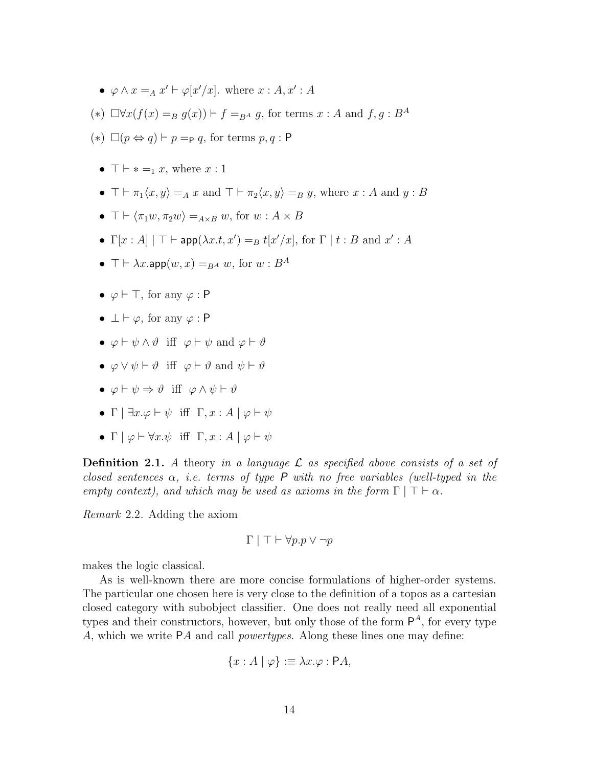- $\varphi \wedge x =_A x' \vdash \varphi[x'/x]$ . where  $x : A, x' : A$
- (\*)  $\Box \forall x (f(x) =_B g(x)) \vdash f =_{BA} g$ , for terms  $x : A$  and  $f, g : B^A$
- $(*)$  □( $p \Leftrightarrow q$ ) ⊢  $p =_{\mathsf{P}} q$ , for terms  $p, q : \mathsf{P}$ 
	- $\top \vdash * =_1 x$ , where  $x:1$
	- $\top \vdash \pi_1\langle x, y \rangle =_A x$  and  $\top \vdash \pi_2\langle x, y \rangle =_B y$ , where  $x : A$  and  $y : B$
	- $\top \vdash \langle \pi_1 w, \pi_2 w \rangle =_{A \times B} w$ , for  $w : A \times B$
	- $\Gamma[x:A] \mid \top \vdash \mathsf{app}(\lambda x.t, x') =_B t[x'/x]$ , for  $\Gamma \mid t : B$  and  $x' : A$
	- $\top \vdash \lambda x.\mathsf{app}(w, x) =_{B^A} w$ , for  $w : B^A$
	- $\varphi \vdash \top$ , for any  $\varphi : \mathsf{P}$
	- $\perp \vdash \varphi$ , for any  $\varphi : \mathsf{P}$
	- $\varphi \vdash \psi \land \vartheta$  iff  $\varphi \vdash \psi$  and  $\varphi \vdash \vartheta$
	- $\varphi \vee \psi \vdash \vartheta$  iff  $\varphi \vdash \vartheta$  and  $\psi \vdash \vartheta$
	- $\varphi \vdash \psi \Rightarrow \vartheta$  iff  $\varphi \land \psi \vdash \vartheta$
	- Γ |  $\exists x.\varphi \vdash \psi$  iff  $\Gamma, x : A \mid \varphi \vdash \psi$
	- Γ  $\varphi \vdash \forall x.\psi$  iff  $\Gamma, x : A \vdash \varphi \vdash \psi$

**Definition 2.1.** A theory in a language  $\mathcal{L}$  as specified above consists of a set of closed sentences  $\alpha$ , i.e. terms of type P with no free variables (well-typed in the empty context), and which may be used as axioms in the form  $\Gamma | \top \vdash \alpha$ .

Remark 2.2. Adding the axiom

$$
\Gamma \mid \top \vdash \forall p. p \lor \neg p
$$

makes the logic classical.

As is well-known there are more concise formulations of higher-order systems. The particular one chosen here is very close to the definition of a topos as a cartesian closed category with subobject classifier. One does not really need all exponential types and their constructors, however, but only those of the form  $\mathsf{P}^A$ , for every type A, which we write PA and call *powertypes*. Along these lines one may define:

$$
\{x : A \mid \varphi\} := \lambda x. \varphi : \mathsf{P}A,
$$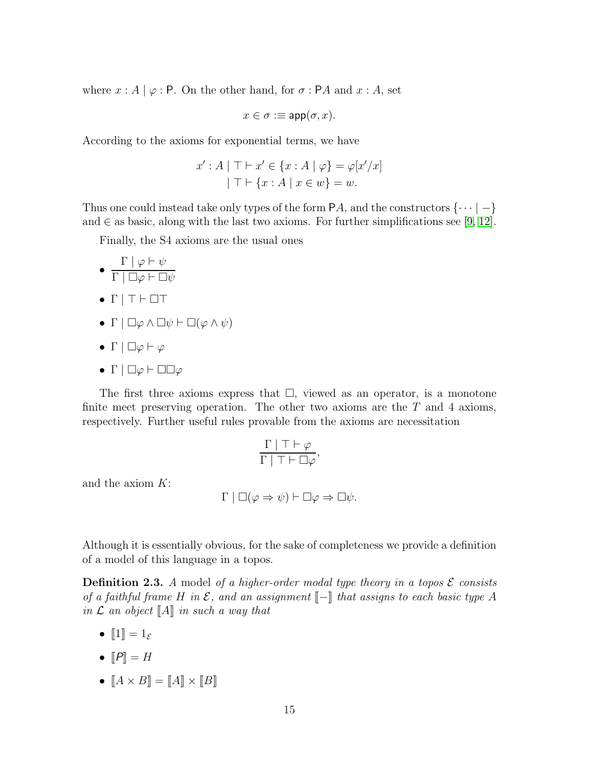where  $x : A | \varphi : P$ . On the other hand, for  $\sigma : P A$  and  $x : A$ , set

$$
x \in \sigma := \textsf{app}(\sigma, x).
$$

According to the axioms for exponential terms, we have

$$
x': A \mid \top \vdash x' \in \{x : A \mid \varphi\} = \varphi[x'/x]
$$

$$
\mid \top \vdash \{x : A \mid x \in w\} = w.
$$

Thus one could instead take only types of the form  $PA$ , and the constructors  $\{\cdots | -\}$ and  $\in$  as basic, along with the last two axioms. For further simplifications see [\[9,](#page-40-7) [12\]](#page-40-10).

Finally, the S4 axioms are the usual ones

- $\Gamma \mid \varphi \vdash \psi$  $\Gamma \mid \Box \varphi \vdash \Box \psi$
- $\bullet$   $\Gamma$  |  $\top$   $\vdash$   $\Box$  $\top$
- Γ  $\Box \varphi \land \Box \psi \vdash \Box (\varphi \land \psi)$
- Γ  $\Box \varphi \vdash \varphi$
- $\bullet$  Γ |  $\Box \varphi \vdash \Box \Box \varphi$

The first three axioms express that  $\Box$ , viewed as an operator, is a monotone finite meet preserving operation. The other two axioms are the  $T$  and 4 axioms, respectively. Further useful rules provable from the axioms are necessitation

$$
\frac{\Gamma \mid \top \vdash \varphi}{\Gamma \mid \top \vdash \Box \varphi},
$$

and the axiom K:

$$
\Gamma \mid \Box(\varphi \Rightarrow \psi) \vdash \Box \varphi \Rightarrow \Box \psi.
$$

Although it is essentially obvious, for the sake of completeness we provide a definition of a model of this language in a topos.

<span id="page-14-0"></span>**Definition 2.3.** A model of a higher-order modal type theory in a topos  $\mathcal{E}$  consists of a faithful frame H in  $\mathcal E$ , and an assignment  $\llbracket - \rrbracket$  that assigns to each basic type A in  $\mathcal L$  an object  $\llbracket A \rrbracket$  in such a way that

- $\llbracket 1 \rrbracket = 1_{\mathcal{E}}$
- $\mathbb{P}$  = H
- $[A \times B] = [A] \times [B]$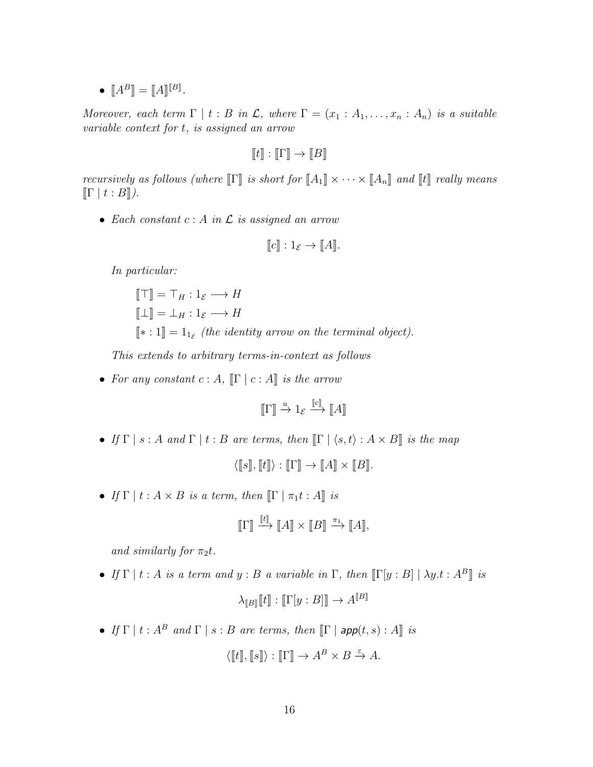$\bullet \;\; [\![A^B]\!] = [\![A]\!]^{[\![B]\!]} .$ 

Moreover, each term  $\Gamma | t : B$  in  $\mathcal{L}$ , where  $\Gamma = (x_1 : A_1, \ldots, x_n : A_n)$  is a suitable variable context for t, is assigned an arrow

 $\llbracket t \rrbracket : \llbracket \Gamma \rrbracket \to \llbracket B \rrbracket$ 

recursively as follows (where  $\llbracket \Gamma \rrbracket$  is short for  $\llbracket A_1 \rrbracket \times \cdots \times \llbracket A_n \rrbracket$  and  $\llbracket t \rrbracket$  really means  $\llbracket \Gamma \mid t : B \rrbracket$ ).

• Each constant  $c : A$  in  $\mathcal L$  is assigned an arrow

$$
[\![c]\!] : 1_{\mathcal{E}} \to [\![A]\!].
$$

In particular:

$$
\begin{aligned}\n\llbracket \top \rrbracket &= \top_H : 1_{\mathcal{E}} \longrightarrow H \\
\llbracket \bot \rrbracket &= \bot_H : 1_{\mathcal{E}} \longrightarrow H \\
\llbracket * : 1 \rrbracket &= 1_{1_{\mathcal{E}}} \text{ (the identity arrow on the terminal object)}.\n\end{aligned}
$$

This extends to arbitrary terms-in-context as follows

• For any constant  $c : A$ ,  $\llbracket \Gamma \mid c : A \rrbracket$  is the arrow

$$
\llbracket \Gamma \rrbracket \xrightarrow{u} 1_{\mathcal{E}} \xrightarrow{\llbracket c \rrbracket} \llbracket A \rrbracket
$$

- If  $\Gamma | s : A$  and  $\Gamma | t : B$  are terms, then  $\lbrack \Gamma | \langle s, t \rangle : A \times B \rbrack$  is the map  $\langle [\![s]\!], [\![t]\!] \rangle : [\![\Gamma]\!] \to [\![A]\!] \times [\![B]\!]$ .
- If  $\Gamma | t : A \times B$  is a term, then  $\llbracket \Gamma | \pi_1 t : A \rrbracket$  is

$$
[\![ \Gamma ]\!] \xrightarrow{[\![t]\!] } [A]\!] \times [\![B]\!] \xrightarrow{\pi_1} [\![A]\!],
$$

and similarly for  $\pi_2 t$ .

• If  $\Gamma | t : A$  is a term and  $y : B$  a variable in  $\Gamma$ , then  $\Gamma | y : B | \lambda y.t : A^B$  is

$$
\lambda_{[\![B]\!]}[\![t]\!]: [\![\Gamma[y:B]]\!] \to A^{[\![B]\!]}
$$

• If  $\Gamma | t : A^B$  and  $\Gamma | s : B$  are terms, then  $\lbrack \Gamma |$  app $(t, s) : A \rbrack$  is

$$
\langle \llbracket t \rrbracket, \llbracket s \rrbracket \rangle : \llbracket \Gamma \rrbracket \to A^B \times B \xrightarrow{\varepsilon} A.
$$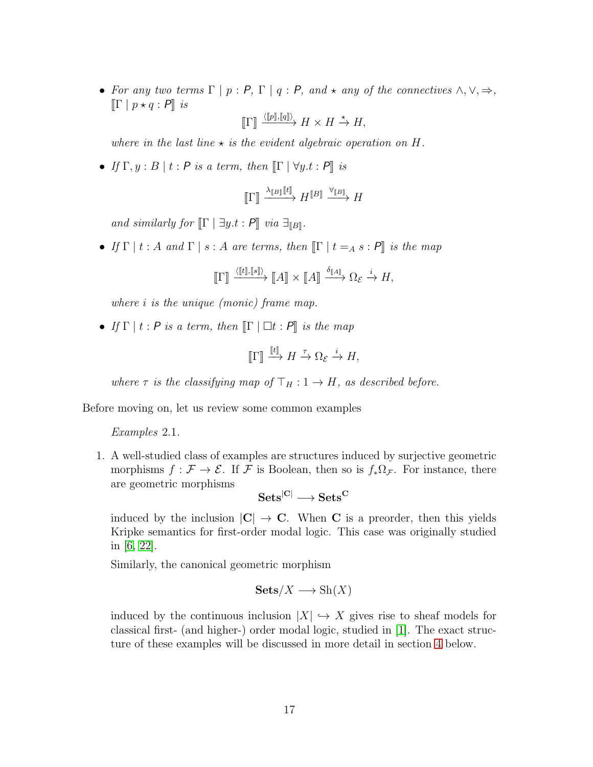• For any two terms  $\Gamma | p : P, \Gamma | q : P$ , and  $\star$  any of the connectives  $\wedge, \vee, \Rightarrow$ ,  $\llbracket \Gamma \mid p \star q : P \rrbracket$  is

$$
\llbracket \Gamma \rrbracket \xrightarrow{\langle \llbracket p \rrbracket, \llbracket q \rrbracket \rangle} H \times H \xrightarrow{\star} H,
$$

where in the last line  $\star$  is the evident algebraic operation on H.

• If  $\Gamma, y : B \mid t : P$  is a term, then  $\Gamma \mid \forall y.t : P \mid$  is

$$
\llbracket \Gamma \rrbracket \xrightarrow{\lambda_{\llbracket B \rrbracket \llbracket t \rrbracket}} H^{\llbracket B \rrbracket} \xrightarrow{\forall_{\llbracket B \rrbracket}} H
$$

and similarly for  $\llbracket \Gamma \mid \exists y.t : P \rrbracket$  via  $\exists_{\llbracket B \rrbracket}$ .

• If  $\Gamma | t : A$  and  $\Gamma | s : A$  are terms, then  $\llbracket \Gamma | t = A s : P \rrbracket$  is the map

$$
\llbracket \Gamma \rrbracket \xrightarrow{\langle \llbracket t \rrbracket, \llbracket s \rrbracket \rangle} \llbracket A \rrbracket \times \llbracket A \rrbracket \xrightarrow{\delta_{\llbracket A \rrbracket} \Delta \otimes_{\mathcal{E}} \xrightarrow{i} H,
$$

where *i* is the unique (monic) frame map.

• If  $\Gamma | t : P$  is a term, then  $\lbrack\Gamma | \rbrack \square t : P \rbrack\!\rbrack$  is the map

$$
\llbracket \Gamma \rrbracket \xrightarrow{\llbracket t \rrbracket} H \xrightarrow{\tau} \Omega_{\mathcal{E}} \xrightarrow{i} H,
$$

where  $\tau$  is the classifying map of  $\top_H : 1 \to H$ , as described before.

Before moving on, let us review some common examples

Examples 2.1.

1. A well-studied class of examples are structures induced by surjective geometric morphisms  $f : \mathcal{F} \to \mathcal{E}$ . If  $\mathcal{F}$  is Boolean, then so is  $f_*\Omega_{\mathcal{F}}$ . For instance, there are geometric morphisms

 $Sets^{[C]}\longrightarrow Sets^{C}$ 

induced by the inclusion  $|C| \to C$ . When C is a preorder, then this yields Kripke semantics for first-order modal logic. This case was originally studied in [\[6,](#page-39-2) [22\]](#page-40-2).

Similarly, the canonical geometric morphism

$$
\mathbf{Sets}/X \longrightarrow \mathrm{Sh}(X)
$$

induced by the continuous inclusion  $|X| \hookrightarrow X$  gives rise to sheaf models for classical first- (and higher-) order modal logic, studied in [\[1\]](#page-39-3). The exact structure of these examples will be discussed in more detail in section [4](#page-26-0) below.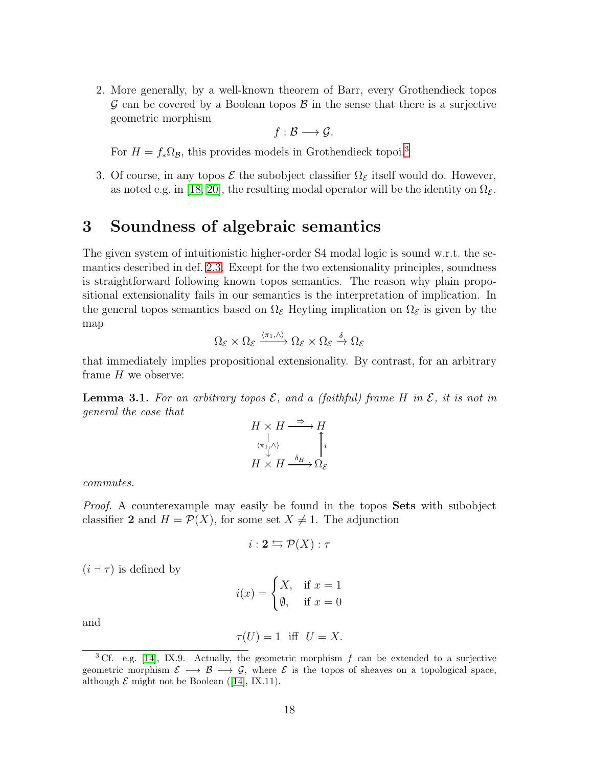2. More generally, by a well-known theorem of Barr, every Grothendieck topos  $\mathcal G$  can be covered by a Boolean topos  $\mathcal B$  in the sense that there is a surjective geometric morphism

$$
f:\mathcal{B}\longrightarrow\mathcal{G}.
$$

For  $H = f_* \Omega_B$ , this provides models in Grothendieck topoi.<sup>[3](#page-17-0)</sup>

3. Of course, in any topos  $\mathcal E$  the subobject classifier  $\Omega_{\mathcal E}$  itself would do. However, as noted e.g. in [\[18,](#page-40-12) [20\]](#page-40-13), the resulting modal operator will be the identity on  $\Omega_{\mathcal{E}}$ .

## 3 Soundness of algebraic semantics

The given system of intuitionistic higher-order S4 modal logic is sound w.r.t. the semantics described in def. [2.3.](#page-14-0) Except for the two extensionality principles, soundness is straightforward following known topos semantics. The reason why plain propositional extensionality fails in our semantics is the interpretation of implication. In the general topos semantics based on  $\Omega_{\mathcal{E}}$  Heyting implication on  $\Omega_{\mathcal{E}}$  is given by the map

$$
\Omega_{\mathcal{E}} \times \Omega_{\mathcal{E}} \xrightarrow{\langle \pi_1, \wedge \rangle} \Omega_{\mathcal{E}} \times \Omega_{\mathcal{E}} \xrightarrow{\delta} \Omega_{\mathcal{E}}
$$

that immediately implies propositional extensionality. By contrast, for an arbitrary frame  $H$  we observe:

**Lemma 3.1.** For an arbitrary topos  $\mathcal{E}$ , and a (faithful) frame H in  $\mathcal{E}$ , it is not in general the case that

$$
H \times H \xrightarrow{\Rightarrow} H
$$
  
\n
$$
\begin{array}{c}\n\downarrow \\
\langle \pi_1, \wedge \rangle \\
\downarrow \\
H \times H \xrightarrow{\delta_H} \Omega_{\mathcal{E}}\n\end{array}
$$

commutes.

*Proof.* A counterexample may easily be found in the topos **Sets** with subobject classifier 2 and  $H = \mathcal{P}(X)$ , for some set  $X \neq 1$ . The adjunction

$$
i: \mathbf{2} \leftrightarrows \mathcal{P}(X): \tau
$$

 $(i \dashv \tau)$  is defined by

$$
i(x) = \begin{cases} X, & \text{if } x = 1\\ \emptyset, & \text{if } x = 0 \end{cases}
$$

and

$$
\tau(U) = 1 \quad \text{iff} \quad U = X.
$$

<span id="page-17-0"></span><sup>&</sup>lt;sup>3</sup> Cf. e.g. [\[14\]](#page-40-9), IX.9. Actually, the geometric morphism  $f$  can be extended to a surjective geometric morphism  $\mathcal{E} \longrightarrow \mathcal{B} \longrightarrow \mathcal{G}$ , where  $\mathcal{E}$  is the topos of sheaves on a topological space, although  $\mathcal E$  might not be Boolean ([\[14\]](#page-40-9), IX.11).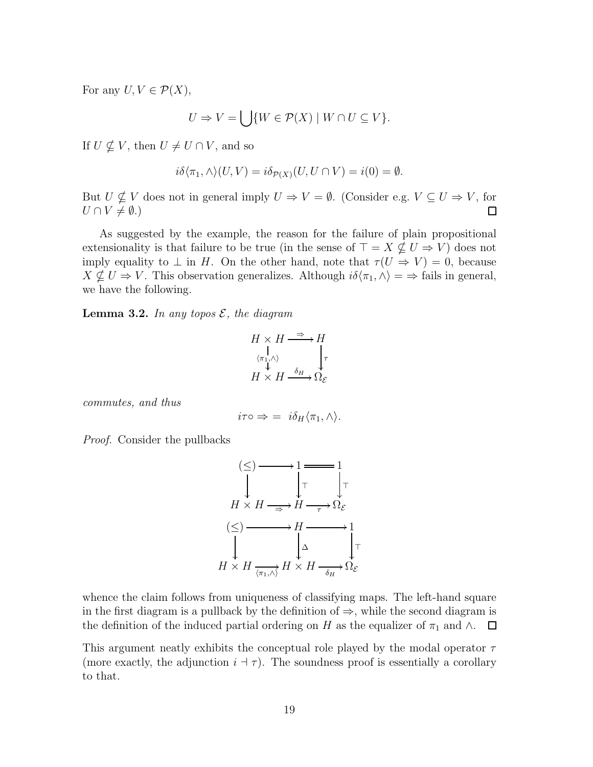For any  $U, V \in \mathcal{P}(X)$ ,

$$
U \Rightarrow V = \bigcup \{ W \in \mathcal{P}(X) \mid W \cap U \subseteq V \}.
$$

If  $U \nsubseteq V$ , then  $U \neq U \cap V$ , and so

$$
i\delta\langle\pi_1,\wedge\rangle(U,V)=i\delta_{\mathcal{P}(X)}(U,U\cap V)=i(0)=\emptyset.
$$

But  $U \nsubseteq V$  does not in general imply  $U \Rightarrow V = \emptyset$ . (Consider e.g.  $V \subseteq U \Rightarrow V$ , for  $U \cap V \neq \emptyset.$  $\Box$ 

As suggested by the example, the reason for the failure of plain propositional extensionality is that failure to be true (in the sense of  $\top = X \nsubseteq U \Rightarrow V$ ) does not imply equality to  $\perp$  in H. On the other hand, note that  $\tau(U \Rightarrow V) = 0$ , because  $X \nsubseteq U \Rightarrow V$ . This observation generalizes. Although  $i\delta\langle \pi_1, \wedge \rangle = \Rightarrow$  fails in general, we have the following.

<span id="page-18-0"></span>**Lemma 3.2.** In any topos  $\mathcal{E}$ , the diagram

$$
H \times H \xrightarrow{\Rightarrow} H
$$
  
\n
$$
\begin{array}{c}\n\downarrow \\
\langle \pi_1, \wedge \rangle \\
\downarrow \\
H \times H \xrightarrow{\delta_H} \Omega_{\mathcal{E}}\n\end{array}
$$

commutes, and thus

$$
i\tau \circ \Rightarrow = i\delta_H \langle \pi_1, \wedge \rangle.
$$

Proof. Consider the pullbacks

$$
\begin{array}{ccc}\n(\le) & \longrightarrow & 1 \longrightarrow 1 \\
\downarrow & & \downarrow \tau & \downarrow \tau \\
H \times H \longrightarrow H \longrightarrow H \longrightarrow \Omega_{\mathcal{E}} \\
(\le) & \longrightarrow & H \longrightarrow 1 \\
\downarrow & & \downarrow \Delta & \downarrow \tau \\
H \times H \xrightarrow{\langle \pi_1, \wedge \rangle} H \times H \longrightarrow \Omega_{\mathcal{E}}\n\end{array}
$$

whence the claim follows from uniqueness of classifying maps. The left-hand square in the first diagram is a pullback by the definition of  $\Rightarrow$ , while the second diagram is the definition of the induced partial ordering on H as the equalizer of  $\pi_1$  and ∧.  $\Box$ 

This argument neatly exhibits the conceptual role played by the modal operator  $\tau$ (more exactly, the adjunction  $i + \tau$ ). The soundness proof is essentially a corollary to that.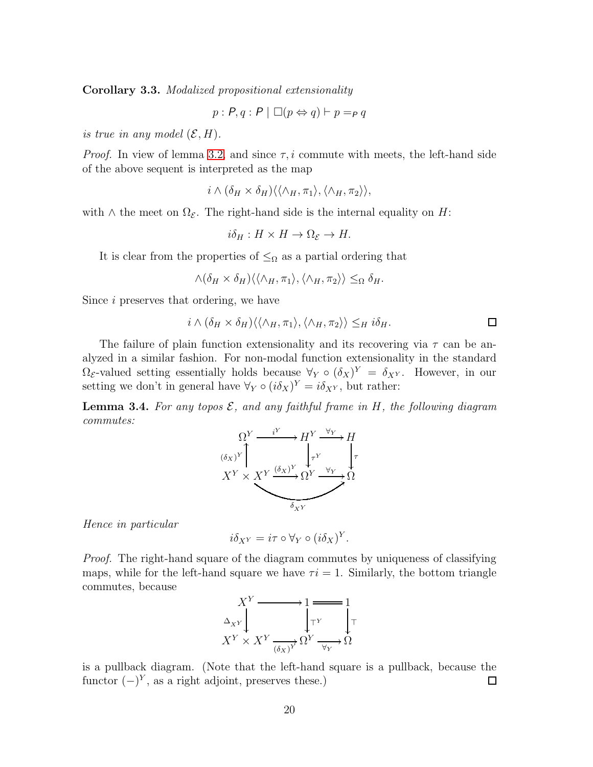Corollary 3.3. Modalized propositional extensionality

$$
p: P, q: P \mid \Box(p \Leftrightarrow q) \vdash p =_P q
$$

is true in any model  $(\mathcal{E}, H)$ .

*Proof.* In view of lemma [3.2,](#page-18-0) and since  $\tau$ , i commute with meets, the left-hand side of the above sequent is interpreted as the map

$$
i \wedge (\delta_H \times \delta_H) \langle \langle \wedge_H, \pi_1 \rangle, \langle \wedge_H, \pi_2 \rangle \rangle,
$$

with  $\wedge$  the meet on  $\Omega_{\mathcal{E}}$ . The right-hand side is the internal equality on H:

$$
i\delta_H: H \times H \to \Omega_{\mathcal{E}} \to H.
$$

It is clear from the properties of  $\leq_{\Omega}$  as a partial ordering that

$$
\wedge (\delta_H \times \delta_H) \langle \langle \wedge_H, \pi_1 \rangle, \langle \wedge_H, \pi_2 \rangle \rangle \leq_{\Omega} \delta_H.
$$

Since i preserves that ordering, we have

$$
i \wedge (\delta_H \times \delta_H) \langle \langle \wedge_H, \pi_1 \rangle, \langle \wedge_H, \pi_2 \rangle \rangle \leq_H i \delta_H.
$$

The failure of plain function extensionality and its recovering via  $\tau$  can be analyzed in a similar fashion. For non-modal function extensionality in the standard  $\Omega_{\mathcal{E}}$ -valued setting essentially holds because  $\forall_Y \circ (\delta_X)^Y = \delta_{X^Y}$ . However, in our setting we don't in general have  $\forall Y \circ (i\delta_X)^Y = i\delta_{X,Y}$ , but rather:

<span id="page-19-0"></span>**Lemma 3.4.** For any topos  $\mathcal{E}$ , and any faithful frame in  $H$ , the following diagram commutes:



Hence in particular

$$
i\delta_{X^Y} = i\tau \circ \forall_Y \circ (i\delta_X)^Y.
$$

Proof. The right-hand square of the diagram commutes by uniqueness of classifying maps, while for the left-hand square we have  $\tau i = 1$ . Similarly, the bottom triangle commutes, because



is a pullback diagram. (Note that the left-hand square is a pullback, because the functor  $(-)^{Y}$ , as a right adjoint, preserves these.) □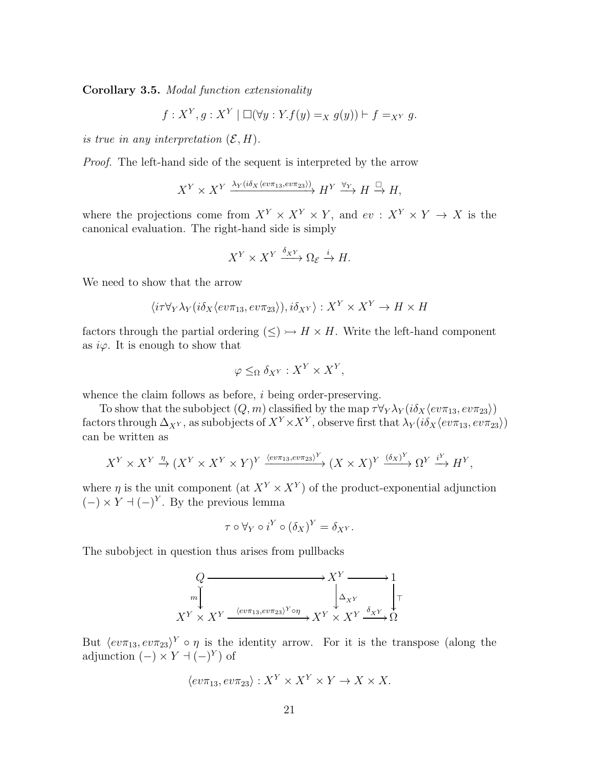Corollary 3.5. Modal function extensionality

$$
f: X^Y, g: X^Y \mid \Box(\forall y: Y.f(y) =_X g(y)) \vdash f =_{X^Y} g.
$$

is true in any interpretation  $(\mathcal{E}, H)$ .

Proof. The left-hand side of the sequent is interpreted by the arrow

$$
X^Y \times X^Y \xrightarrow{\lambda_Y (i\delta_X \langle ev \pi_{13}, ev \pi_{23} \rangle)} H^Y \xrightarrow{\forall_Y} H \xrightarrow{\Box} H,
$$

where the projections come from  $X^Y \times X^Y \times Y$ , and  $ev : X^Y \times Y \to X$  is the canonical evaluation. The right-hand side is simply

$$
X^Y \times X^Y \xrightarrow{\delta_{X^Y}} \Omega_{\mathcal{E}} \xrightarrow{i} H.
$$

We need to show that the arrow

$$
\langle i\tau \forall_Y \lambda_Y (i\delta_X \langle ev\pi_{13}, ev\pi_{23} \rangle), i\delta_{X^Y} \rangle : X^Y \times X^Y \to H \times H
$$

factors through the partial ordering  $(\leq) \rightarrow H \times H$ . Write the left-hand component as  $i\varphi$ . It is enough to show that

$$
\varphi \leq_{\Omega} \delta_{X^Y} : X^Y \times X^Y,
$$

whence the claim follows as before, *i* being order-preserving.

To show that the subobject  $(Q, m)$  classified by the map  $\tau \forall Y \lambda Y (i \delta_X \langle ev \pi_{13}, ev \pi_{23} \rangle)$ factors through  $\Delta_{X^Y}$ , as subobjects of  $X^Y\times X^Y$ , observe first that  $\lambda_Y(i\delta_X\langle ev\pi_{13}, ev\pi_{23}\rangle)$ can be written as

$$
X^Y \times X^Y \xrightarrow{\eta} (X^Y \times X^Y \times Y)^Y \xrightarrow{\langle ev \pi_{13}, ev \pi_{23} \rangle^Y} (X \times X)^Y \xrightarrow{(\delta_X)^Y} \Omega^Y \xrightarrow{i^Y} H^Y,
$$

where  $\eta$  is the unit component (at  $X^Y \times X^Y$ ) of the product-exponential adjunction  $(-) \times Y + (-)^Y$ . By the previous lemma

$$
\tau \circ \forall_Y \circ i^Y \circ (\delta_X)^Y = \delta_{X^Y}.
$$

The subobject in question thus arises from pullbacks

$$
Q \longrightarrow X^{Y} \longrightarrow 1
$$
  
\n
$$
m \downarrow \qquad \qquad \downarrow \Delta_{X^{Y}} \qquad \downarrow \qquad \downarrow \qquad \downarrow
$$
  
\n
$$
X^{Y} \times X^{Y} \xrightarrow{\langle ev \pi_{13}, ev \pi_{23} \rangle^{Y} \circ \eta} X^{Y} \times X^{Y} \xrightarrow{\delta_{X^{Y}}} \Omega
$$

But  $\langle ev\pi_{13}, ev\pi_{23}\rangle^Y \circ \eta$  is the identity arrow. For it is the transpose (along the adjunction  $(-) \times Y \dashv (-)^Y$  of

$$
\langle ev\pi_{13}, ev\pi_{23} \rangle : X^Y \times X^Y \times Y \to X \times X.
$$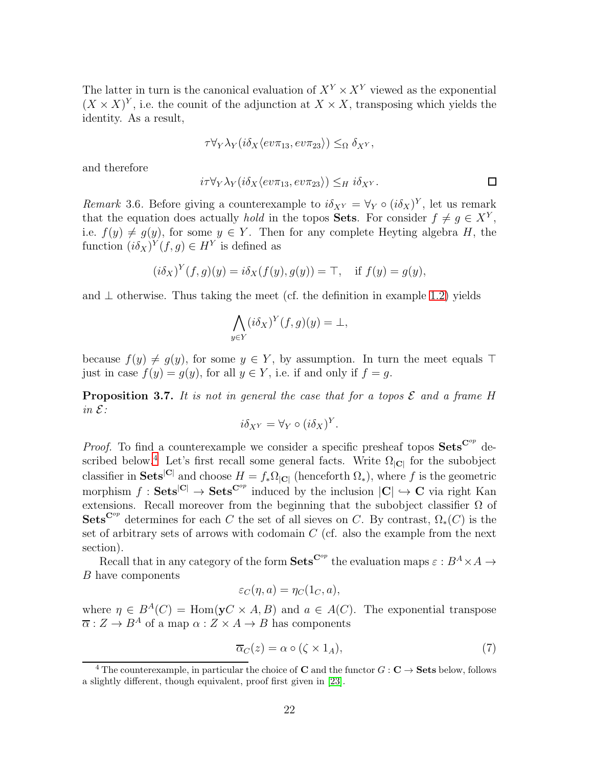The latter in turn is the canonical evaluation of  $X^Y \times X^Y$  viewed as the exponential  $(X \times X)^Y$ , i.e. the counit of the adjunction at  $X \times X$ , transposing which yields the identity. As a result,

$$
\tau \forall_Y \lambda_Y (i \delta_X \langle ev \pi_{13}, ev \pi_{23} \rangle) \leq_{\Omega} \delta_{X^Y},
$$

and therefore

$$
i\tau \forall_Y \lambda_Y (i\delta_X \langle ev \pi_{13}, ev \pi_{23} \rangle) \leq_H i\delta_{X^Y}.
$$

Remark 3.6. Before giving a counterexample to  $i\delta_{XY} = \forall_Y \circ (i\delta_X)^Y$ , let us remark that the equation does actually *hold* in the topos **Sets**. For consider  $f \neq g \in X^Y$ , i.e.  $f(y) \neq g(y)$ , for some  $y \in Y$ . Then for any complete Heyting algebra H, the function  $(i\delta_X)^Y(f,g) \in H^Y$  is defined as

$$
(i\delta_X)^Y(f,g)(y) = i\delta_X(f(y),g(y)) = \top, \quad \text{if } f(y) = g(y),
$$

and  $\perp$  otherwise. Thus taking the meet (cf. the definition in example [1.2\)](#page-5-0) yields

$$
\bigwedge_{y \in Y} (i \delta_X)^Y(f, g)(y) = \bot,
$$

because  $f(y) \neq g(y)$ , for some  $y \in Y$ , by assumption. In turn the meet equals ⊤ just in case  $f(y) = g(y)$ , for all  $y \in Y$ , i.e. if and only if  $f = g$ .

**Proposition 3.7.** It is not in general the case that for a topos  $\mathcal E$  and a frame H in E:

$$
i\delta_{X^Y} = \forall_Y \circ (i\delta_X)^Y.
$$

*Proof.* To find a counterexample we consider a specific presheaf topos  $\textbf{Sets}^{\mathbf{C}^{op}}$  de-scribed below.<sup>[4](#page-21-0)</sup> Let's first recall some general facts. Write  $\Omega_{\vert\mathbf{C}\vert}$  for the subobject classifier in **Sets**<sup>[C]</sup> and choose  $H = f_* \Omega_{|C|}$  (henceforth  $\Omega_*$ ), where f is the geometric morphism  $f : \mathbf{Sets}^{|\mathbf{C}|} \to \mathbf{Sets}^{\mathbf{C}^{op}}$  induced by the inclusion  $|\mathbf{C}| \hookrightarrow \mathbf{C}$  via right Kan extensions. Recall moreover from the beginning that the subobject classifier  $\Omega$  of Sets<sup>Cop</sup> determines for each C the set of all sieves on C. By contrast,  $\Omega_*(C)$  is the set of arbitrary sets of arrows with codomain  $C$  (cf. also the example from the next section).

Recall that in any category of the form  $\textbf{Sets}^{\mathbf{C}^{op}}$  the evaluation maps  $\varepsilon : B^A \times A \rightarrow$ B have components

$$
\varepsilon_C(\eta, a) = \eta_C(1_C, a),
$$

where  $\eta \in B^A(C) = \text{Hom}(\mathbf{y}C \times A, B)$  and  $a \in A(C)$ . The exponential transpose  $\overline{\alpha}: Z \to B^A$  of a map  $\alpha: Z \times A \to B$  has components

<span id="page-21-1"></span>
$$
\overline{\alpha}_C(z) = \alpha \circ (\zeta \times 1_A),\tag{7}
$$

<span id="page-21-0"></span><sup>&</sup>lt;sup>4</sup> The counterexample, in particular the choice of **C** and the functor  $G: \mathbb{C} \to \mathbf{Sets}$  below, follows a slightly different, though equivalent, proof first given in [\[23\]](#page-40-11).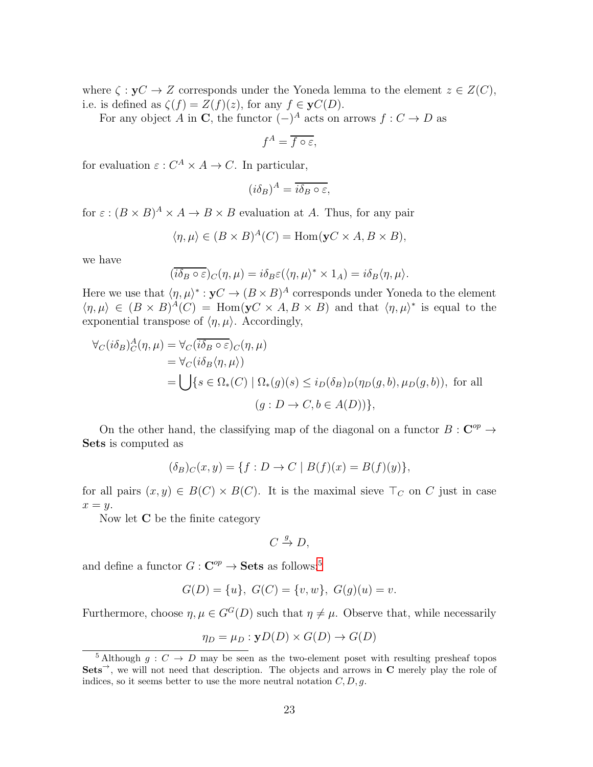where  $\zeta : yC \to Z$  corresponds under the Yoneda lemma to the element  $z \in Z(C)$ , i.e. is defined as  $\zeta(f) = Z(f)(z)$ , for any  $f \in \mathbf{y}C(D)$ .

For any object A in C, the functor  $(-)^A$  acts on arrows  $f: C \to D$  as

$$
f^A = \overline{f \circ \varepsilon},
$$

for evaluation  $\varepsilon: C^A \times A \to C$ . In particular,

$$
(i\delta_B)^A = \overline{i\delta_B \circ \varepsilon},
$$

for  $\varepsilon : (B \times B)^A \times A \to B \times B$  evaluation at A. Thus, for any pair

$$
\langle \eta, \mu \rangle \in (B \times B)^{A}(C) = \text{Hom}(\mathbf{y}C \times A, B \times B),
$$

we have

$$
(\overline{i\delta_B \circ \varepsilon})_C(\eta,\mu) = i\delta_B \varepsilon(\langle \eta,\mu \rangle^* \times 1_A) = i\delta_B \langle \eta,\mu \rangle.
$$

Here we use that  $\langle \eta, \mu \rangle^* : yC \to (B \times B)^A$  corresponds under Yoneda to the element  $\langle \eta, \mu \rangle \in (B \times B)^{A}(C) = \text{Hom}(\mathbf{y}C \times A, B \times B)$  and that  $\langle \eta, \mu \rangle^*$  is equal to the exponential transpose of  $\langle \eta, \mu \rangle$ . Accordingly,

$$
\forall_C(i\delta_B)^A_C(\eta,\mu) = \forall_C(\overline{ib_B \circ \varepsilon})_C(\eta,\mu)
$$
  
= 
$$
\forall_C(i\delta_B\langle \eta,\mu \rangle)
$$
  
= 
$$
\bigcup \{s \in \Omega_*(C) \mid \Omega_*(g)(s) \leq i_D(\delta_B)_D(\eta_D(g,b),\mu_D(g,b)), \text{ for all } (g: D \to C, b \in A(D))\},\
$$

On the other hand, the classifying map of the diagonal on a functor  $B: \mathbb{C}^{op} \to$ Sets is computed as

$$
(\delta_B)_C(x, y) = \{ f : D \to C \mid B(f)(x) = B(f)(y) \},
$$

for all pairs  $(x, y) \in B(C) \times B(C)$ . It is the maximal sieve  $\top_C$  on C just in case  $x = y$ .

Now let C be the finite category

$$
C \xrightarrow{g} D,
$$

and define a functor  $G: \mathbf{C}^{op} \to \mathbf{Sets}$  as follows:<sup>[5](#page-22-0)</sup>

$$
G(D) = \{u\}, G(C) = \{v, w\}, G(g)(u) = v.
$$

Furthermore, choose  $\eta, \mu \in G^G(D)$  such that  $\eta \neq \mu$ . Observe that, while necessarily

$$
\eta_D = \mu_D : \mathbf{y}D(D) \times G(D) \to G(D)
$$

<span id="page-22-0"></span><sup>&</sup>lt;sup>5</sup> Although  $g: C \to D$  may be seen as the two-element poset with resulting presheaf topos  $Sets^{\rightarrow}$ , we will not need that description. The objects and arrows in C merely play the role of indices, so it seems better to use the more neutral notation  $C, D, g$ .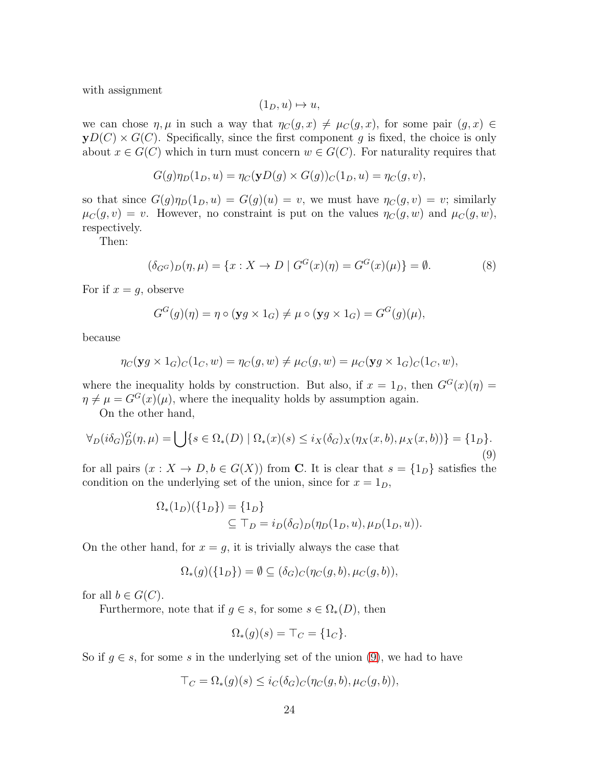with assignment

$$
(1_D, u) \mapsto u,
$$

we can chose  $\eta, \mu$  in such a way that  $\eta_C(g, x) \neq \mu_C(g, x)$ , for some pair  $(g, x) \in$  $yD(C) \times G(C)$ . Specifically, since the first component g is fixed, the choice is only about  $x \in G(C)$  which in turn must concern  $w \in G(C)$ . For naturality requires that

$$
G(g)\eta_D(1_D, u) = \eta_C(\mathbf{y}D(g) \times G(g))_C(1_D, u) = \eta_C(g, v),
$$

so that since  $G(g)\eta_D(1_D, u) = G(g)(u) = v$ , we must have  $\eta_C(g, v) = v$ ; similarly  $\mu_C(g, v) = v$ . However, no constraint is put on the values  $\eta_C(g, w)$  and  $\mu_C(g, w)$ , respectively.

Then:

<span id="page-23-1"></span>
$$
(\delta_{G^G})_D(\eta, \mu) = \{x : X \to D \mid G^G(x)(\eta) = G^G(x)(\mu)\} = \emptyset.
$$
 (8)

For if  $x = g$ , observe

$$
G^{G}(g)(\eta) = \eta \circ (\mathbf{y}g \times 1_{G}) \neq \mu \circ (\mathbf{y}g \times 1_{G}) = G^{G}(g)(\mu),
$$

because

$$
\eta_C(\mathbf{y}g \times 1_G)_C(1_C, w) = \eta_C(g, w) \neq \mu_C(g, w) = \mu_C(\mathbf{y}g \times 1_G)_C(1_C, w),
$$

where the inequality holds by construction. But also, if  $x = 1_D$ , then  $G<sup>G</sup>(x)(\eta) =$  $\eta \neq \mu = G^G(x)(\mu)$ , where the inequality holds by assumption again.

On the other hand,

<span id="page-23-0"></span>
$$
\forall_D(i\delta_G)^G_{D}(\eta,\mu) = \bigcup \{ s \in \Omega_*(D) \mid \Omega_*(x)(s) \leq i_X(\delta_G)_X(\eta_X(x,b), \mu_X(x,b)) \} = \{1_D\}. \tag{9}
$$

for all pairs  $(x : X \to D, b \in G(X))$  from **C**. It is clear that  $s = \{1_D\}$  satisfies the condition on the underlying set of the union, since for  $x = 1_D$ ,

$$
\Omega_*(1_D)(\{1_D\}) = \{1_D\} \subseteq \top_D = i_D(\delta_G)_D(\eta_D(1_D, u), \mu_D(1_D, u)).
$$

On the other hand, for  $x = g$ , it is trivially always the case that

$$
\Omega_*(g)(\{1_D\}) = \emptyset \subseteq (\delta_G)_C(\eta_C(g, b), \mu_C(g, b)),
$$

for all  $b \in G(C)$ .

Furthermore, note that if  $g \in s$ , for some  $s \in \Omega_*(D)$ , then

$$
\Omega_*(g)(s) = \top_C = \{1_C\}.
$$

So if  $g \in s$ , for some s in the underlying set of the union [\(9\)](#page-23-0), we had to have

$$
\top_C = \Omega_*(g)(s) \leq i_C(\delta_G)_{C}(\eta_C(g, b), \mu_C(g, b)),
$$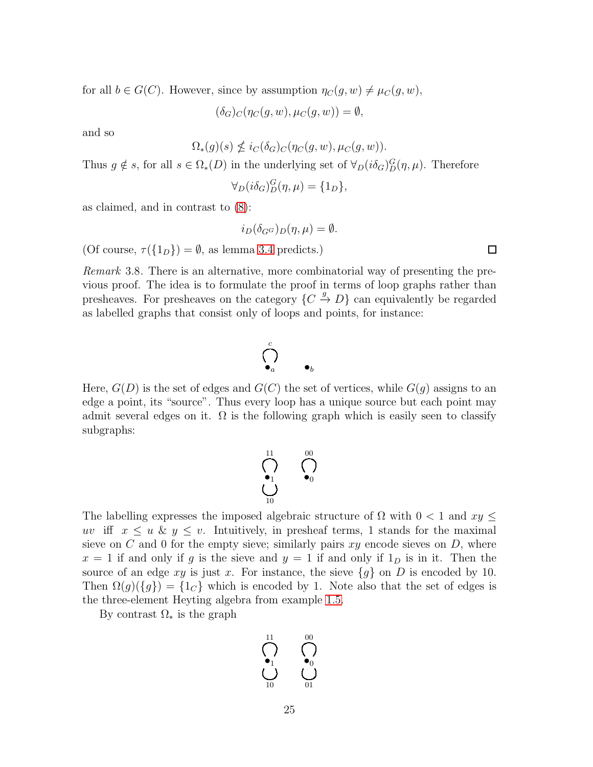for all  $b \in G(C)$ . However, since by assumption  $\eta_C(g, w) \neq \mu_C(g, w)$ ,

 $(\delta_G)_{C}(\eta_C(g, w), \mu_C(g, w)) = \emptyset,$ 

and so

$$
\Omega_*(g)(s) \nleq i_C(\delta_G)_C(\eta_C(g, w), \mu_C(g, w)).
$$

Thus  $g \notin s$ , for all  $s \in \Omega_*(D)$  in the underlying set of  $\forall_D (i\delta_G)_{D}^G(\eta,\mu)$ . Therefore

 $\forall_D(i\delta_G)_{D}^{G}(\eta,\mu) = \{1_D\},\$ 

as claimed, and in contrast to [\(8\)](#page-23-1):

$$
i_D(\delta_{G^G})_D(\eta,\mu)=\emptyset.
$$

(Of course,  $\tau({1_D}) = \emptyset$ , as lemma [3.4](#page-19-0) predicts.)

Remark 3.8. There is an alternative, more combinatorial way of presenting the previous proof. The idea is to formulate the proof in terms of loop graphs rather than presheaves. For presheaves on the category  $\{C \stackrel{g}{\rightarrow} D\}$  can equivalently be regarded as labelled graphs that consist only of loops and points, for instance:

$$
\bigcap_{\bullet_a}^c \qquad \bullet_b
$$

Here,  $G(D)$  is the set of edges and  $G(C)$  the set of vertices, while  $G(g)$  assigns to an edge a point, its "source". Thus every loop has a unique source but each point may admit several edges on it.  $\Omega$  is the following graph which is easily seen to classify subgraphs:

$$
\bigcap_{\tiny{\begin{array}{c} \bullet_1 \\ \bullet_1 \end{array}} \quad \ \ \bigcap_{\tiny{\begin{array}{c} \bullet_0 \\ \bullet_0 \end{array}} \quad \ \ \bigcap_{\tiny{\begin{array}{c} \bullet_1 \\ \bullet_0 \end{array}} \quad \ \ \, \bigcap_{\tiny{\begin{array}{c} \bullet_2 \\ \bullet_1 \end{array}} \quad \ \ \, \bigcap_{\tiny{\begin{array}{c} \bullet_1 \\ \bullet_2 \end{array}} \quad \ \ \, \bigcap_{\tiny{\begin{array}{c} \bullet_2 \\ \bullet_1 \end{array}} \quad \ \ \, \bigcap_{\tiny{\begin{array}{c} \bullet_2 \\ \bullet_2 \end{array}} \quad \ \ \, \bigcap_{\tiny{\begin{array}{c} \bullet_2 \\ \bullet_1 \end{array}} \quad \ \ \, \bigcap_{\tiny{\begin{array}{c} \bullet_2 \\ \bullet_2 \end{array}} \quad \ \ \, \bigcap_{\tiny{\begin{array}{c} \bullet_2 \\ \bullet_1 \end{array}} \quad \ \ \, \bigcap_{\tiny{\begin{array}{c} \bullet_2 \\ \bullet_2 \end{array}} \quad \ \ \, \bigcap_{\tiny{\begin{array}{c} \bullet_2 \\ \bullet_1 \end{array}} \quad \ \ \, \bigcap_{\tiny{\begin{array}{c} \bullet_2 \\ \bullet_2 \end{array}} \quad \ \ \, \bigcap_{\tiny{\begin{array}{c} \bullet_2 \\ \bullet_2 \end{array}} \quad \ \ \, \bigcap_{\tiny{\begin{array}{c} \bullet_2 \\ \bullet_1 \end{array}} \quad \ \ \, \bigcap_{\tiny{\begin{array}{c} \bullet_2 \\ \bullet_2 \end{array}} \quad \ \ \, \bigcap_{\tiny{\begin{array}{c} \bullet_2 \\ \bullet_1 \end{array}} \quad \ \ \, \bigcap_{\tiny{\begin{array}{c} \bullet_2 \\ \bullet_2 \end{array}} \quad \ \ \, \bigcap_{\tiny{\begin{array}{c} \bullet_2 \\ \bullet_2 \end{array}} \quad \ \ \, \bigcap_{\tiny{\begin{array}{c} \bullet_2 \\ \bullet_2 \end{array}} \quad \ \ \, \bigcap_{\tiny{\begin{array}{c} \bullet_2 \\ \bullet_2 \end{array}} \quad \ \ \, \bigcap_{\tiny{\begin{array}{c} \bullet_2 \\ \bullet_2 \end{array}} \quad
$$

The labelling expresses the imposed algebraic structure of  $\Omega$  with  $0 < 1$  and  $xy \leq$ uv iff  $x \le u \& y \le v$ . Intuitively, in presheaf terms, 1 stands for the maximal sieve on C and 0 for the empty sieve; similarly pairs  $xy$  encode sieves on D, where  $x = 1$  if and only if g is the sieve and  $y = 1$  if and only if  $1<sub>D</sub>$  is in it. Then the source of an edge xy is just x. For instance, the sieve  ${g}$  on D is encoded by 10. Then  $\Omega(g)(\lbrace g \rbrace) = \lbrace 1_G \rbrace$  which is encoded by 1. Note also that the set of edges is the three-element Heyting algebra from example [1.5.](#page-10-0)

By contrast  $\Omega_*$  is the graph

$$
\bigcup_{10}^{11} \qquad \bigcap_{01}^{00} \qquad
$$

 $\Box$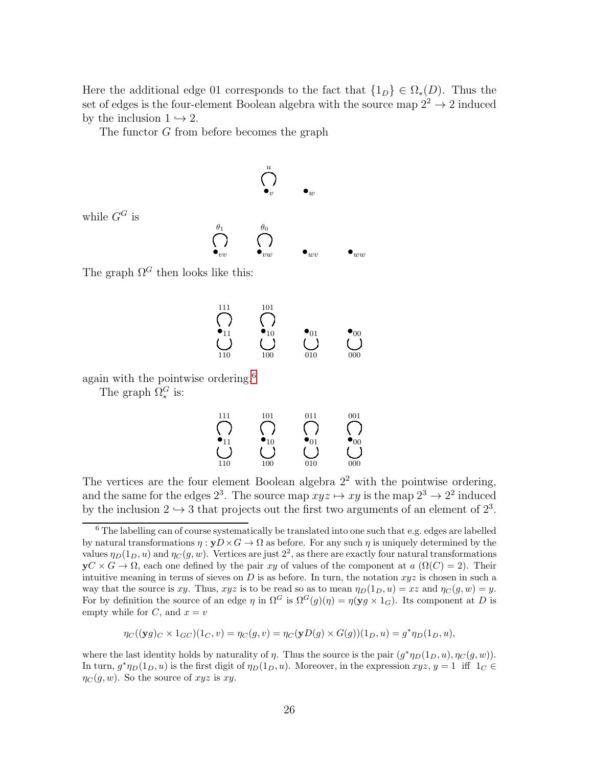Here the additional edge 01 corresponds to the fact that  $\{1_D\} \in \Omega_*(D)$ . Thus the set of edges is the four-element Boolean algebra with the source map  $2^2 \rightarrow 2$  induced by the inclusion  $1 \hookrightarrow 2$ .

The functor G from before becomes the graph

$$
\bigodot_{\bullet_\upsilon}^u \qquad \bullet_w
$$

while  $G^G$  is

 $\bullet_{vv}$  $\theta_1$  $\bullet_{vw}$  $\theta_0$  $\bullet_{wv}$   $\qquad \bullet_{ww}$ 

The graph  $\Omega^G$  then looks like this:

$$
\begin{array}{ccc}\n111 & 101 \\
\bigcap_{11} & \bigcap_{\bullet_{10}} & \bigcap_{01} & \bullet_{00} \\
\bigcup_{110} & \bigcup_{100} & \bigcup_{010} & \bigcup_{000} & \bigcup_{000} & \n\end{array}
$$

again with the pointwise ordering.<sup>[6](#page-25-0)</sup>

The graph  $\Omega_*^G$  is:

$$
\begin{array}{ccc}\n111 & 101 & 011 & 001 \\
\bigcap_{11} & \bigcap_{10} & \bigcap_{10} & \bigcap_{01} & \bigcap_{00} \\
\bigcup_{110} & 100 & 010 & 000\n\end{array}
$$

The vertices are the four element Boolean algebra  $2<sup>2</sup>$  with the pointwise ordering, and the same for the edges  $2^3$ . The source map  $xyz \mapsto xy$  is the map  $2^3 \to 2^2$  induced by the inclusion  $2 \hookrightarrow 3$  that projects out the first two arguments of an element of  $2^3$ .

$$
\eta_C((\mathbf{y}g)_C \times 1_{GC})(1_C, v) = \eta_C(g, v) = \eta_C(\mathbf{y}D(g) \times G(g))(1_D, u) = g^*\eta_D(1_D, u),
$$

where the last identity holds by naturality of  $\eta$ . Thus the source is the pair  $(g^*\eta_D(1_D, u), \eta_C(g, w))$ . In turn,  $g^* \eta_D(1_D, u)$  is the first digit of  $\eta_D(1_D, u)$ . Moreover, in the expression  $xyz, y = 1$  iff  $1_C \in$  $\eta_C(q, w)$ . So the source of  $xyz$  is  $xy$ .

<span id="page-25-0"></span><sup>6</sup> The labelling can of course systematically be translated into one such that e.g. edges are labelled by natural transformations  $\eta : yD \times G \to \Omega$  as before. For any such  $\eta$  is uniquely determined by the values  $\eta_D(1_D, u)$  and  $\eta_C(g, w)$ . Vertices are just  $2^2$ , as there are exactly four natural transformations  $yC \times G \to \Omega$ , each one defined by the pair xy of values of the component at  $a(\Omega(C) = 2)$ . Their intuitive meaning in terms of sieves on D is as before. In turn, the notation  $xyz$  is chosen in such a way that the source is xy. Thus, xyz is to be read so as to mean  $\eta_D(1_D, u) = xz$  and  $\eta_C(g, w) = y$ . For by definition the source of an edge  $\eta$  in  $\Omega^G$  is  $\Omega^G(g)(\eta) = \eta(\mathbf{y} g \times \mathbf{1}_G)$ . Its component at D is empty while for  $C$ , and  $x = v$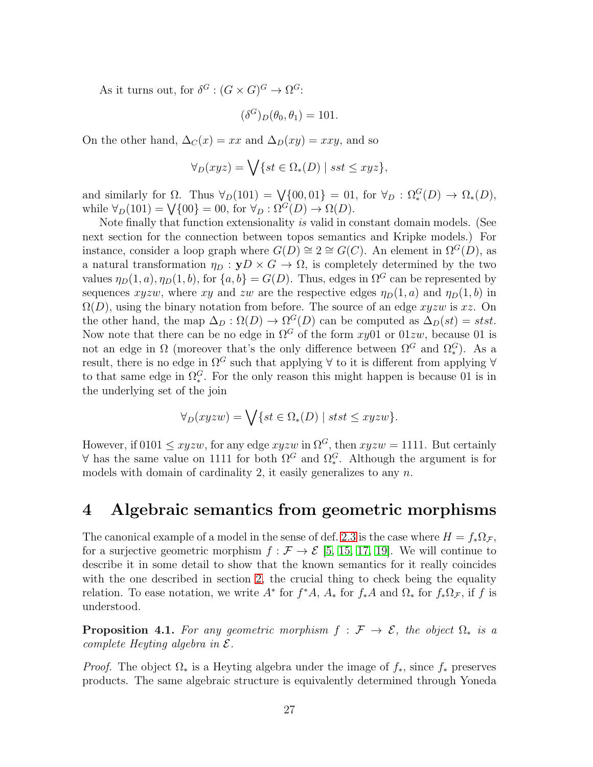As it turns out, for  $\delta^G : (G \times G)^G \to \Omega^G$ :

$$
(\delta^G)_D(\theta_0, \theta_1) = 101.
$$

On the other hand,  $\Delta_C(x) = xx$  and  $\Delta_D(xy) = xxy$ , and so

$$
\forall_D(xyz) = \bigvee \{ st \in \Omega_*(D) \mid sst \leq xyz \},\
$$

and similarly for  $\Omega$ . Thus  $\forall_D(101) = \bigvee \{00, 01\} = 01$ , for  $\forall_D : \Omega_*^G(D) \to \Omega_*(D)$ , while  $\forall_D(101) = \bigvee \{00\} = 00$ , for  $\forall_D : \Omega^G(D) \to \Omega(D)$ .

Note finally that function extensionality is valid in constant domain models. (See next section for the connection between topos semantics and Kripke models.) For instance, consider a loop graph where  $G(D) \cong 2 \cong G(C)$ . An element in  $\Omega^{G}(D)$ , as a natural transformation  $\eta_D : yD \times G \to \Omega$ , is completely determined by the two values  $\eta_D(1, a), \eta_D(1, b)$ , for  $\{a, b\} = G(D)$ . Thus, edges in  $\Omega^G$  can be represented by sequences xyzw, where xy and zw are the respective edges  $\eta_D(1, a)$  and  $\eta_D(1, b)$  in  $\Omega(D)$ , using the binary notation from before. The source of an edge xyzw is xz. On the other hand, the map  $\Delta_D : \Omega(D) \to \Omega^G(D)$  can be computed as  $\Delta_D(st) = stst$ . Now note that there can be no edge in  $\Omega^G$  of the form xy01 or 01zw, because 01 is not an edge in  $\Omega$  (moreover that's the only difference between  $\Omega^G$  and  $\Omega_*^G$ ). As a result, there is no edge in  $\Omega^G$  such that applying  $\forall$  to it is different from applying  $\forall$ to that same edge in  $\Omega_*^G$ . For the only reason this might happen is because 01 is in the underlying set of the join

$$
\forall_D(xyzw) = \bigvee \{ st \in \Omega_*(D) \mid stst \leq xyzw \}.
$$

However, if 0101  $\leq$  xyzw, for any edge xyzw in  $\Omega$ <sup>G</sup>, then xyzw = 1111. But certainly  $\forall$  has the same value on 1111 for both  $\Omega^G$  and  $\Omega^G_*$ . Although the argument is for models with domain of cardinality 2, it easily generalizes to any  $n$ .

#### <span id="page-26-0"></span>4 Algebraic semantics from geometric morphisms

The canonical example of a model in the sense of def. [2.3](#page-14-0) is the case where  $H = f_*\Omega_{\mathcal{F}}$ , for a surjective geometric morphism  $f : \mathcal{F} \to \mathcal{E}$  [\[5,](#page-39-4) [15,](#page-40-3) [17,](#page-40-14) [19\]](#page-40-4). We will continue to describe it in some detail to show that the known semantics for it really coincides with the one described in section [2,](#page-11-1) the crucial thing to check being the equality relation. To ease notation, we write  $A^*$  for  $f^*A$ ,  $A_*$  for  $f_*A$  and  $\Omega_*$  for  $f_*\Omega_{\mathcal{F}}$ , if f is understood.

<span id="page-26-1"></span>**Proposition 4.1.** For any geometric morphism  $f : \mathcal{F} \to \mathcal{E}$ , the object  $\Omega_*$  is a complete Heyting algebra in  $\mathcal{E}.$ 

*Proof.* The object  $\Omega_*$  is a Heyting algebra under the image of  $f_*$ , since  $f_*$  preserves products. The same algebraic structure is equivalently determined through Yoneda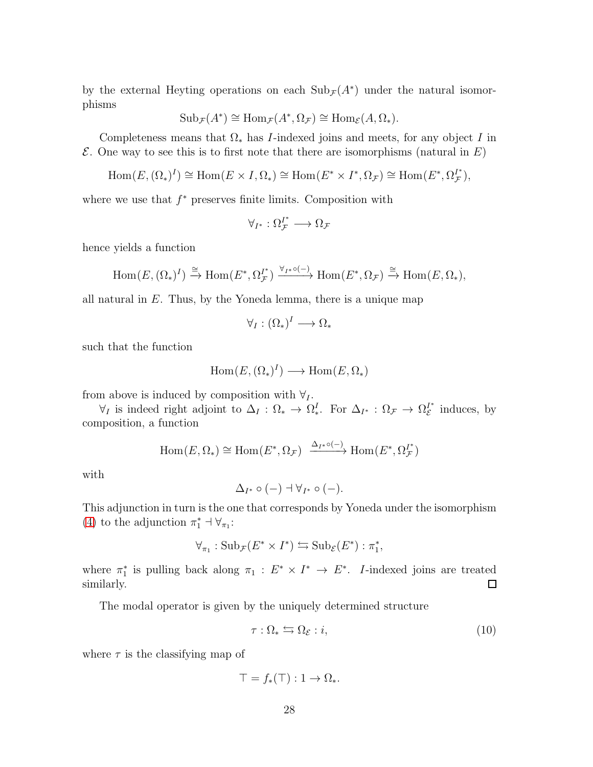by the external Heyting operations on each  $\text{Sub}_{\mathcal{F}}(A^*)$  under the natural isomorphisms

$$
Sub_{\mathcal{F}}(A^*) \cong Hom_{\mathcal{F}}(A^*, \Omega_{\mathcal{F}}) \cong Hom_{\mathcal{E}}(A, \Omega_*)
$$
.

Completeness means that  $\Omega_*$  has I-indexed joins and meets, for any object I in  $\mathcal E$ . One way to see this is to first note that there are isomorphisms (natural in  $E$ )

$$
\text{Hom}(E, (\Omega_*)^I) \cong \text{Hom}(E \times I, \Omega_*) \cong \text{Hom}(E^* \times I^*, \Omega_{\mathcal{F}}) \cong \text{Hom}(E^*, \Omega_{\mathcal{F}}^{I^*}),
$$

where we use that  $f^*$  preserves finite limits. Composition with

$$
\forall_{I^*} : \Omega_{\mathcal{F}}^{I^*} \longrightarrow \Omega_{\mathcal{F}}
$$

hence yields a function

$$
\mathrm{Hom}(E, (\Omega_*)^I) \xrightarrow{\cong} \mathrm{Hom}(E^*, \Omega_{\mathcal{F}}^{I^*}) \xrightarrow{\forall_{I^*} \circ (-)} \mathrm{Hom}(E^*, \Omega_{\mathcal{F}}) \xrightarrow{\cong} \mathrm{Hom}(E, \Omega_*),
$$

all natural in  $E$ . Thus, by the Yoneda lemma, there is a unique map

$$
\forall_I: (\Omega_*)^I \longrightarrow \Omega_*
$$

such that the function

$$
Hom(E, (\Omega_*)^I) \longrightarrow Hom(E, \Omega_*)
$$

from above is induced by composition with  $\forall I$ .

 $\forall_I$  is indeed right adjoint to  $\Delta_I : \Omega_* \to \Omega_*^I$ . For  $\Delta_{I^*} : \Omega_{\mathcal{F}} \to \Omega_{\mathcal{E}}^{I^*}$  $\int_{\mathcal{E}}^{I^*}$  induces, by composition, a function

$$
\operatorname{Hom}(E,\Omega_*) \cong \operatorname{Hom}(E^*,\Omega_{\mathcal{F}}) \xrightarrow{\Delta_{I^*} \circ (-)} \operatorname{Hom}(E^*,\Omega_{\mathcal{F}}^{I^*})
$$

with

$$
\Delta_{I^*}\circ(-)\dashv\forall_{I^*}\circ(-).
$$

This adjunction in turn is the one that corresponds by Yoneda under the isomorphism [\(4\)](#page-4-0) to the adjunction  $\pi_1^* \dashv \forall_{\pi_1}$ :

$$
\forall_{\pi_1}: \mathrm{Sub}_{\mathcal{F}}(E^* \times I^*) \leftrightarrows \mathrm{Sub}_{\mathcal{E}}(E^*) : \pi_1^*,
$$

where  $\pi_1^*$  is pulling back along  $\pi_1 : E^* \times I^* \to E^*$ . *I*-indexed joins are treated similarly. ◻

The modal operator is given by the uniquely determined structure

<span id="page-27-0"></span>
$$
\tau : \Omega_* \leftrightarrows \Omega_{\mathcal{E}} : i,
$$
\n<sup>(10)</sup>

where  $\tau$  is the classifying map of

$$
\top = f_*(\top) : 1 \to \Omega_*.
$$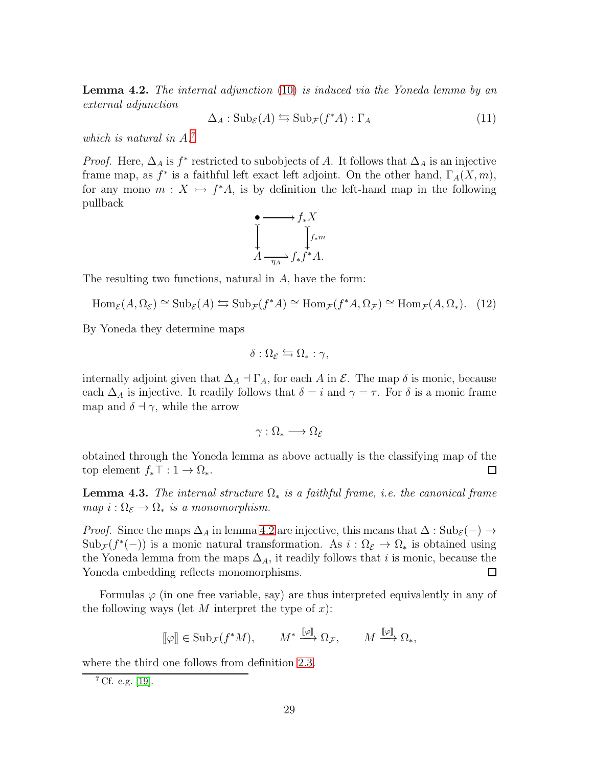<span id="page-28-1"></span>**Lemma 4.2.** The internal adjunction [\(10\)](#page-27-0) is induced via the Yoneda lemma by an external adjunction

<span id="page-28-2"></span>
$$
\Delta_A: \mathrm{Sub}_{\mathcal{E}}(A) \leftrightarrows \mathrm{Sub}_{\mathcal{F}}(f^*A): \Gamma_A \tag{11}
$$

which is natural in  $A$ <sup>[7](#page-28-0)</sup>

*Proof.* Here,  $\Delta_A$  is  $f^*$  restricted to subobjects of A. It follows that  $\Delta_A$  is an injective frame map, as  $f^*$  is a faithful left exact left adjoint. On the other hand,  $\Gamma_A(X, m)$ , for any mono  $m: X \rightarrow f^*A$ , is by definition the left-hand map in the following pullback

$$
\begin{array}{ccc}\n\bullet & \longrightarrow f_{*}X \\
\downarrow & & \downarrow f_{*}m \\
A & \longrightarrow f_{*}f^{*}A.\n\end{array}
$$

The resulting two functions, natural in A, have the form:

$$
\text{Hom}_{\mathcal{E}}(A, \Omega_{\mathcal{E}}) \cong \text{Sub}_{\mathcal{E}}(A) \leftrightarrows \text{Sub}_{\mathcal{F}}(f^*A) \cong \text{Hom}_{\mathcal{F}}(f^*A, \Omega_{\mathcal{F}}) \cong \text{Hom}_{\mathcal{F}}(A, \Omega_*) . \tag{12}
$$

By Yoneda they determine maps

$$
\delta:\Omega_{\mathcal{E}}\leftrightarrows\Omega_*:\gamma,
$$

internally adjoint given that  $\Delta_A \dashv \Gamma_A$ , for each A in  $\mathcal{E}$ . The map  $\delta$  is monic, because each  $\Delta_A$  is injective. It readily follows that  $\delta = i$  and  $\gamma = \tau$ . For  $\delta$  is a monic frame map and  $\delta \dashv \gamma$ , while the arrow

$$
\gamma:\Omega_*\longrightarrow\Omega_{\mathcal{E}}
$$

obtained through the Yoneda lemma as above actually is the classifying map of the top element  $f_*\top: 1 \to \Omega_*$ .  $\Box$ 

**Lemma 4.3.** The internal structure  $\Omega_*$  is a faithful frame, i.e. the canonical frame map  $i : \Omega_{\mathcal{E}} \to \Omega_*$  is a monomorphism.

*Proof.* Since the maps  $\Delta_A$  in lemma [4.2](#page-28-1) are injective, this means that  $\Delta : Sub_{\mathcal{E}}(-) \rightarrow$  $\text{Sub}_{\mathcal{F}}(f^*(-))$  is a monic natural transformation. As  $i:\Omega_{\mathcal{E}}\to\Omega_*$  is obtained using the Yoneda lemma from the maps  $\Delta_A$ , it readily follows that *i* is monic, because the Yoneda embedding reflects monomorphisms.  $\Box$ 

Formulas  $\varphi$  (in one free variable, say) are thus interpreted equivalently in any of the following ways (let M interpret the type of  $x$ ):

$$
\llbracket \varphi \rrbracket \in \mathrm{Sub}_{\mathcal{F}}(f^*M), \qquad M^* \xrightarrow{\llbracket \varphi \rrbracket} \Omega_{\mathcal{F}}, \qquad M \xrightarrow{\llbracket \varphi \rrbracket} \Omega_*,
$$

where the third one follows from definition [2.3.](#page-14-0)

<span id="page-28-0"></span><sup>7</sup> Cf. e.g. [\[19\]](#page-40-4).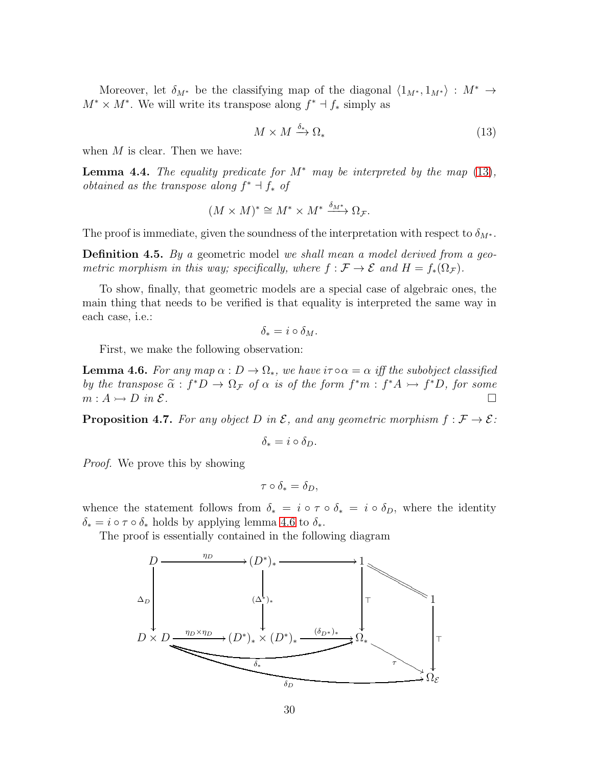Moreover, let  $\delta_{M^*}$  be the classifying map of the diagonal  $\langle 1_{M^*}, 1_{M^*} \rangle : M^* \rightarrow$  $M^* \times M^*$ . We will write its transpose along  $f^* \dashv f_*$  simply as

<span id="page-29-0"></span>
$$
M \times M \xrightarrow{\delta_*} \Omega_* \tag{13}
$$

when  $M$  is clear. Then we have:

**Lemma 4.4.** The equality predicate for  $M^*$  may be interpreted by the map [\(13\)](#page-29-0), *obtained as the transpose along*  $f^* \dashv f_*$  *of* 

$$
(M \times M)^* \cong M^* \times M^* \xrightarrow{\delta_{M^*}} \Omega_{\mathcal{F}}.
$$

The proof is immediate, given the soundness of the interpretation with respect to  $\delta_{M^*}$ .

**Definition 4.5.** By a geometric model we shall mean a model derived from a geometric morphism in this way; specifically, where  $f : \mathcal{F} \to \mathcal{E}$  and  $H = f_*(\Omega_{\mathcal{F}})$ .

To show, finally, that geometric models are a special case of algebraic ones, the main thing that needs to be verified is that equality is interpreted the same way in each case, i.e.:

$$
\delta_* = i \circ \delta_M.
$$

First, we make the following observation:

<span id="page-29-1"></span>**Lemma 4.6.** For any map  $\alpha : D \to \Omega_*$ , we have  $i\tau \circ \alpha = \alpha$  iff the subobject classified by the transpose  $\tilde{\alpha} : f^*D \to \Omega_{\mathcal{F}}$  of  $\alpha$  is of the form  $f^*m : f^*A \to f^*D$ , for some  $m : A \rightarrow D$  in  $\mathcal{E}.$ 

**Proposition 4.7.** For any object D in  $\mathcal{E}$ , and any geometric morphism  $f : \mathcal{F} \to \mathcal{E}$ :

$$
\delta_* = i \circ \delta_D.
$$

Proof. We prove this by showing

$$
\tau \circ \delta_* = \delta_D,
$$

whence the statement follows from  $\delta_* = i \circ \tau \circ \delta_* = i \circ \delta_D$ , where the identity  $\delta_* = i \circ \tau \circ \delta_*$  holds by applying lemma [4.6](#page-29-1) to  $\delta_*$ .

The proof is essentially contained in the following diagram

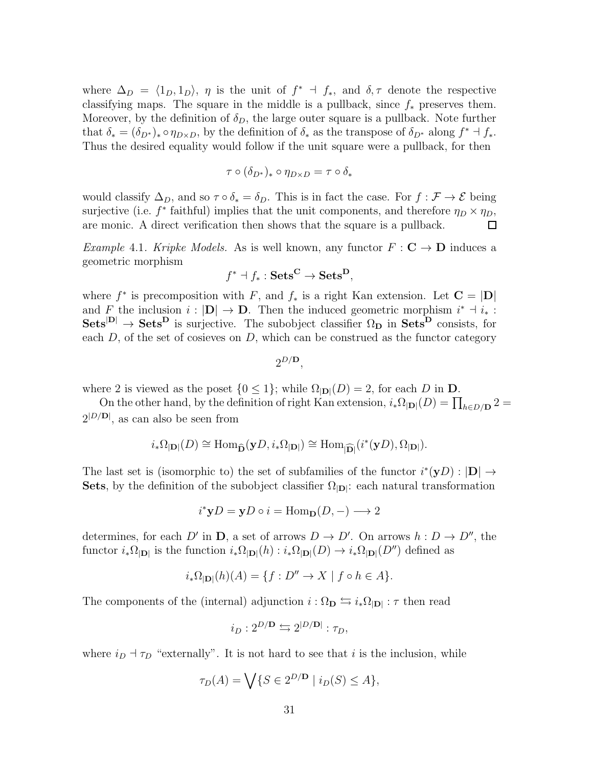where  $\Delta_D = \langle 1_D, 1_D \rangle$ ,  $\eta$  is the unit of  $f^* \dashv f_*$ , and  $\delta, \tau$  denote the respective classifying maps. The square in the middle is a pullback, since  $f_*$  preserves them. Moreover, by the definition of  $\delta_D$ , the large outer square is a pullback. Note further that  $\delta_* = (\delta_{D^*})_* \circ \eta_{D \times D}$ , by the definition of  $\delta_*$  as the transpose of  $\delta_{D^*}$  along  $f^* \dashv f_*$ . Thus the desired equality would follow if the unit square were a pullback, for then

$$
\tau \circ (\delta_{D^*})_* \circ \eta_{D \times D} = \tau \circ \delta_*
$$

would classify  $\Delta_D$ , and so  $\tau \circ \delta_* = \delta_D$ . This is in fact the case. For  $f : \mathcal{F} \to \mathcal{E}$  being surjective (i.e.  $f^*$  faithful) implies that the unit components, and therefore  $\eta_D \times \eta_D$ , are monic. A direct verification then shows that the square is a pullback.  $\Box$ 

*Example 4.1. Kripke Models.* As is well known, any functor  $F : \mathbf{C} \to \mathbf{D}$  induces a geometric morphism

$$
f^* \dashv f_* : \mathbf{Sets}^\mathbf{C} \to \mathbf{Sets}^\mathbf{D},
$$

where  $f^*$  is precomposition with F, and  $f_*$  is a right Kan extension. Let  $\mathbf{C} = |\mathbf{D}|$ and F the inclusion  $i: |D| \to D$ . Then the induced geometric morphism  $i^* \dashv i_*$ :  $Sets^{D} \rightarrow Sets^{D}$  is surjective. The subobject classifier  $\Omega_{D}$  in  $Sets^{D}$  consists, for each  $D$ , of the set of cosieves on  $D$ , which can be construed as the functor category

$$
2^{D/\mathbf{D}},
$$

where 2 is viewed as the poset  $\{0 \leq 1\}$ ; while  $\Omega_{\text{ID}}(D) = 2$ , for each D in D.

On the other hand, by the definition of right Kan extension,  $i_*\Omega_{|\mathbf{D}|}(D) = \prod_{h \in D/\mathbf{D}} 2 =$  $2^{|D/\mathbf{D}|}$ , as can also be seen from

$$
i_*\Omega_{|\mathbf{D}|}(D) \cong \text{Hom}_{\widehat{\mathbf{D}}}(\mathbf{y}D, i_*\Omega_{|\mathbf{D}|}) \cong \text{Hom}_{|\widehat{\mathbf{D}}|}(i^*(\mathbf{y}D), \Omega_{|\mathbf{D}|}).
$$

The last set is (isomorphic to) the set of subfamilies of the functor  $i^*(yD) : |D| \to$ **Sets**, by the definition of the subobject classifier  $\Omega_{|\mathbf{D}|}$ : each natural transformation

$$
i^*yD = yD \circ i = \text{Hom}_{\mathbf{D}}(D, -) \longrightarrow 2
$$

determines, for each D' in **D**, a set of arrows  $D \to D'$ . On arrows  $h: D \to D''$ , the functor  $i_*\Omega_{|\mathbf{D}|}$  is the function  $i_*\Omega_{|\mathbf{D}|}(h) : i_*\Omega_{|\mathbf{D}|}(D) \to i_*\Omega_{|\mathbf{D}|}(D'')$  defined as

$$
i_*\Omega_{|\mathbf{D}|}(h)(A) = \{f : D'' \to X \mid f \circ h \in A\}.
$$

The components of the (internal) adjunction  $i : \Omega_{\mathbf{D}} \leftrightarrows i_* \Omega_{|\mathbf{D}|} : \tau$  then read

$$
i_D: 2^{D/\mathbf{D}} \leftrightarrows 2^{|D/\mathbf{D}|} : \tau_D,
$$

where  $i_D + \tau_D$  "externally". It is not hard to see that i is the inclusion, while

$$
\tau_D(A) = \bigvee \{ S \in 2^{D/\mathbf{D}} \mid i_D(S) \le A \},
$$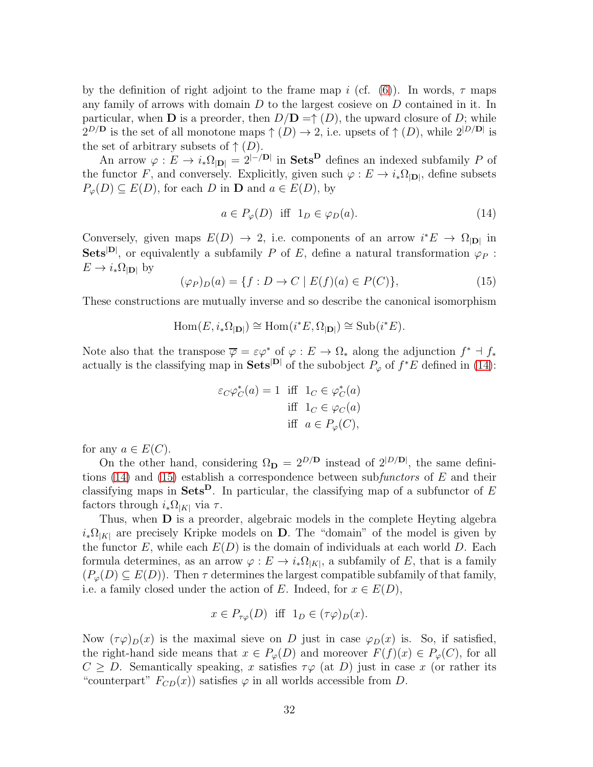by the definition of right adjoint to the frame map i (cf.  $(6)$ ). In words,  $\tau$  maps any family of arrows with domain  $D$  to the largest cosieve on  $D$  contained in it. In particular, when **D** is a preorder, then  $D/D = \uparrow (D)$ , the upward closure of D; while  $2^{D/D}$  is the set of all monotone maps  $\uparrow (D) \to 2$ , i.e. upsets of  $\uparrow (D)$ , while  $2^{|D/D|}$  is the set of arbitrary subsets of  $\uparrow$  (D).

An arrow  $\varphi: E \to i_*\Omega_{|\mathbf{D}|} = 2^{-|\mathbf{D}|}$  in **Sets** defines an indexed subfamily P of the functor F, and conversely. Explicitly, given such  $\varphi : E \to i_*\Omega_{|\mathbf{D}|}$ , define subsets  $P_{\varphi}(D) \subseteq E(D)$ , for each D in **D** and  $a \in E(D)$ , by

<span id="page-31-0"></span>
$$
a \in P_{\varphi}(D) \quad \text{iff} \quad 1_D \in \varphi_D(a). \tag{14}
$$

Conversely, given maps  $E(D) \to 2$ , i.e. components of an arrow  $i^*E \to \Omega_{|\mathbf{D}|}$  in Sets<sup>|D|</sup>, or equivalently a subfamily P of E, define a natural transformation  $\varphi_P$ :  $E \to i_*\Omega_{|\mathbf{D}|}$  by

<span id="page-31-1"></span>
$$
(\varphi_P)_D(a) = \{ f : D \to C \mid E(f)(a) \in P(C) \},\tag{15}
$$

These constructions are mutually inverse and so describe the canonical isomorphism

$$
\operatorname{Hom}(E, i_*\Omega_{|\mathbf{D}|}) \cong \operatorname{Hom}(i^*E, \Omega_{|\mathbf{D}|}) \cong \operatorname{Sub}(i^*E).
$$

Note also that the transpose  $\overline{\varphi} = \varepsilon \varphi^*$  of  $\varphi : E \to \Omega_*$  along the adjunction  $f^* \dashv f_*$ actually is the classifying map in Sets<sup>|D|</sup> of the subobject  $P_{\varphi}$  of  $f^*E$  defined in [\(14\)](#page-31-0):

$$
\varepsilon_C \varphi_C^*(a) = 1 \quad \text{iff} \quad 1_C \in \varphi_C^*(a)
$$
  
iff 
$$
1_C \in \varphi_C(a)
$$
  
iff 
$$
a \in P_{\varphi}(C),
$$

for any  $a \in E(C)$ .

On the other hand, considering  $\Omega_{\bf D} = 2^{D/D}$  instead of  $2^{|D/D|}$ , the same defini-tions [\(14\)](#page-31-0) and [\(15\)](#page-31-1) establish a correspondence between subfunctors of  $E$  and their classifying maps in Sets<sup>D</sup>. In particular, the classifying map of a subfunctor of E factors through  $i_*\Omega_{|K|}$  via  $\tau$ .

Thus, when D is a preorder, algebraic models in the complete Heyting algebra  $i_*\Omega_{|K|}$  are precisely Kripke models on **D**. The "domain" of the model is given by the functor E, while each  $E(D)$  is the domain of individuals at each world D. Each formula determines, as an arrow  $\varphi: E \to i_*\Omega_{|K|}$ , a subfamily of E, that is a family  $(P_{\varphi}(D) \subseteq E(D))$ . Then  $\tau$  determines the largest compatible subfamily of that family, i.e. a family closed under the action of E. Indeed, for  $x \in E(D)$ ,

$$
x \in P_{\tau\varphi}(D)
$$
 iff  $1_D \in (\tau\varphi)_D(x)$ .

Now  $(\tau \varphi)_{D}(x)$  is the maximal sieve on D just in case  $\varphi_{D}(x)$  is. So, if satisfied, the right-hand side means that  $x \in P_{\varphi}(D)$  and moreover  $F(f)(x) \in P_{\varphi}(C)$ , for all  $C \geq D$ . Semantically speaking, x satisfies  $\tau \varphi$  (at D) just in case x (or rather its "counterpart"  $F_{CD}(x)$  satisfies  $\varphi$  in all worlds accessible from D.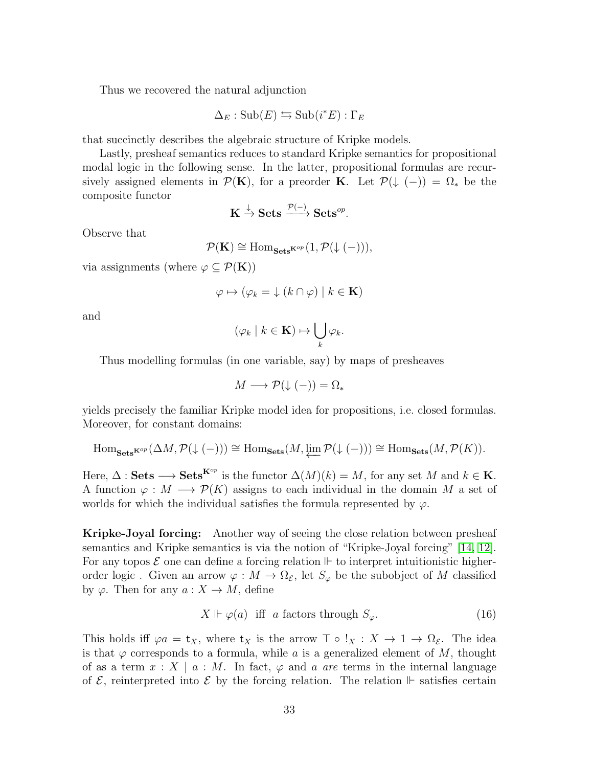Thus we recovered the natural adjunction

$$
\Delta_E : \mathrm{Sub}(E) \leftrightarrows \mathrm{Sub}(i^*E) : \Gamma_E
$$

that succinctly describes the algebraic structure of Kripke models.

Lastly, presheaf semantics reduces to standard Kripke semantics for propositional modal logic in the following sense. In the latter, propositional formulas are recursively assigned elements in  $\mathcal{P}(\mathbf{K})$ , for a preorder **K**. Let  $\mathcal{P}(\downarrow (-)) = \Omega_*$  be the composite functor

$$
\mathbf{K} \xrightarrow{\downarrow} \mathbf{Sets} \xrightarrow{\mathcal{P}(-)} \mathbf{Sets}^{op}.
$$

Observe that

$$
\mathcal{P}(\mathbf{K}) \cong \mathrm{Hom}_{\mathbf{Sets}^{\mathbf{K}^{op}}}(1,\mathcal{P}(\downarrow(-))),
$$

via assignments (where  $\varphi \subseteq \mathcal{P}(\mathbf{K})$ )

$$
\varphi \mapsto (\varphi_k = \downarrow (k \cap \varphi) \mid k \in \mathbf{K})
$$

and

$$
(\varphi_k \mid k \in \mathbf{K}) \mapsto \bigcup_k \varphi_k.
$$

Thus modelling formulas (in one variable, say) by maps of presheaves

$$
M \longrightarrow \mathcal{P}(\downarrow (-)) = \Omega_*
$$

yields precisely the familiar Kripke model idea for propositions, i.e. closed formulas. Moreover, for constant domains:

$$
\mathrm{Hom}_{\mathbf{Sets}}\kappa^{\mathit{op}}\left(\Delta M,\mathcal{P}(\downarrow(-))\right)\cong \mathrm{Hom}_{\mathbf{Sets}}(M,\varprojlim \mathcal{P}(\downarrow(-)))\cong \mathrm{Hom}_{\mathbf{Sets}}(M,\mathcal{P}(K)).
$$

Here,  $\Delta$ : Sets  $\longrightarrow$  Sets<sup>K°</sup> is the functor  $\Delta(M)(k) = M$ , for any set M and  $k \in \mathbf{K}$ . A function  $\varphi : M \longrightarrow \mathcal{P}(K)$  assigns to each individual in the domain M a set of worlds for which the individual satisfies the formula represented by  $\varphi$ .

Kripke-Joyal forcing: Another way of seeing the close relation between presheaf semantics and Kripke semantics is via the notion of "Kripke-Joyal forcing" [\[14,](#page-40-9) [12\]](#page-40-10). For any topos  $\mathcal E$  one can define a forcing relation  $\Vdash$  to interpret intuitionistic higherorder logic. Given an arrow  $\varphi : M \to \Omega_{\mathcal{E}}$ , let  $S_{\varphi}$  be the subobject of M classified by  $\varphi$ . Then for any  $a: X \to M$ , define

<span id="page-32-0"></span>
$$
X \Vdash \varphi(a) \quad \text{iff} \quad a \text{ factors through } S_{\varphi}. \tag{16}
$$

This holds iff  $\varphi a = \mathbf{t}_X$ , where  $\mathbf{t}_X$  is the arrow  $\top \circ \cdot : X \to 1 \to \Omega_{\mathcal{E}}$ . The idea is that  $\varphi$  corresponds to a formula, while a is a generalized element of M, thought of as a term  $x : X \mid a : M$ . In fact,  $\varphi$  and a are terms in the internal language of  $\mathcal{E}$ , reinterpreted into  $\mathcal{E}$  by the forcing relation. The relation  $\mathbb{F}$  satisfies certain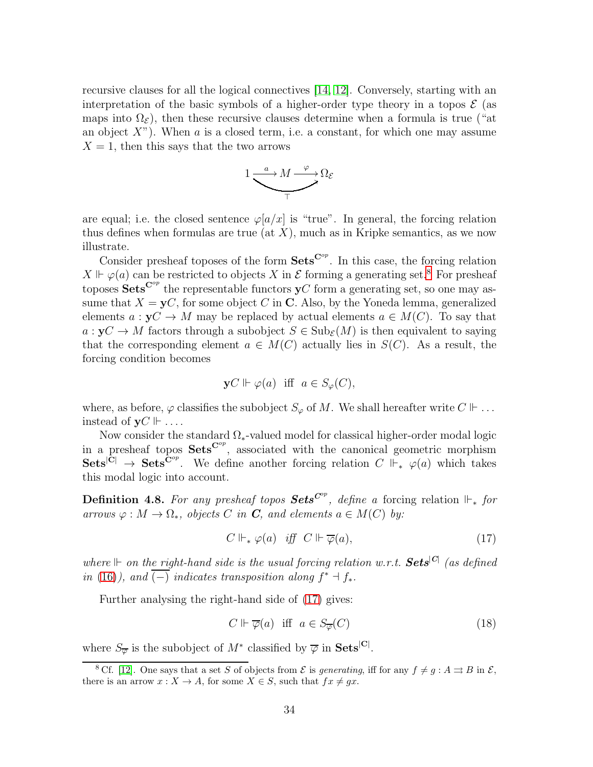recursive clauses for all the logical connectives [\[14,](#page-40-9) [12\]](#page-40-10). Conversely, starting with an interpretation of the basic symbols of a higher-order type theory in a topos  $\mathcal E$  (as maps into  $\Omega_{\mathcal{E}}$ ), then these recursive clauses determine when a formula is true ("at an object  $X$ "). When a is a closed term, i.e. a constant, for which one may assume  $X = 1$ , then this says that the two arrows



are equal; i.e. the closed sentence  $\varphi[a/x]$  is "true". In general, the forcing relation thus defines when formulas are true (at  $X$ ), much as in Kripke semantics, as we now illustrate.

Consider presheaf toposes of the form  $\textbf{Sets}^{\mathbf{C}^{op}}$ . In this case, the forcing relation  $X \Vdash \varphi(a)$  can be restricted to objects X in E forming a generating set.<sup>[8](#page-33-0)</sup> For presheaf toposes  $\textbf{Sets}^{\mathbf{C}^{op}}$  the representable functors  $\mathbf{y}C$  form a generating set, so one may assume that  $X = yC$ , for some object C in C. Also, by the Yoneda lemma, generalized elements  $a: yC \to M$  may be replaced by actual elements  $a \in M(C)$ . To say that  $a: yC \to M$  factors through a subobject  $S \in Sub<sub>E</sub>(M)$  is then equivalent to saying that the corresponding element  $a \in M(C)$  actually lies in  $S(C)$ . As a result, the forcing condition becomes

$$
\mathbf{y}C \Vdash \varphi(a) \text{ iff } a \in S_{\varphi}(C),
$$

where, as before,  $\varphi$  classifies the subobject  $S_{\varphi}$  of M. We shall hereafter write  $C \Vdash ...$ instead of  $\mathbf{v}C \Vdash \dots$ 

Now consider the standard  $\Omega_*$ -valued model for classical higher-order modal logic in a presheaf topos  $\textbf{Sets}^{\mathbf{C}^{op}}$ , associated with the canonical geometric morphism  $\textbf{Sets}^{|\mathbf{C}|} \to \textbf{Sets}^{\mathbf{C}^{op}}$ . We define another forcing relation  $C \Vdash_{*} \varphi(a)$  which takes this modal logic into account.

<span id="page-33-2"></span>**Definition 4.8.** For any presheaf topos **Sets**<sup> $C^{op}$ </sup>, define a forcing relation  $\Vdash_{\ast}$  for arrows  $\varphi : M \to \Omega_*$ , objects C in **C**, and elements  $a \in M(C)$  by:

<span id="page-33-1"></span>
$$
C \Vdash_* \varphi(a) \quad iff \quad C \Vdash \overline{\varphi}(a), \tag{17}
$$

where  $\mathbb H$  on the right-hand side is the usual forcing relation w.r.t.  $\boldsymbol{Sets}^{|\mathcal{C}|}$  (as defined in [\(16\)](#page-32-0)), and  $\overline{(-)}$  indicates transposition along  $f^* \dashv f_*$ .

Further analysing the right-hand side of [\(17\)](#page-33-1) gives:

$$
C \Vdash \overline{\varphi}(a) \quad \text{iff} \quad a \in S_{\overline{\varphi}}(C) \tag{18}
$$

where  $S_{\overline{\varphi}}$  is the subobject of  $M^*$  classified by  $\overline{\varphi}$  in **Sets**<sup>[C]</sup>.

<span id="page-33-0"></span><sup>&</sup>lt;sup>8</sup> Cf. [\[12\]](#page-40-10). One says that a set S of objects from  $\mathcal E$  is generating, iff for any  $f \neq g : A \rightrightarrows B$  in  $\mathcal E$ , there is an arrow  $x : X \to A$ , for some  $X \in S$ , such that  $fx \neq gx$ .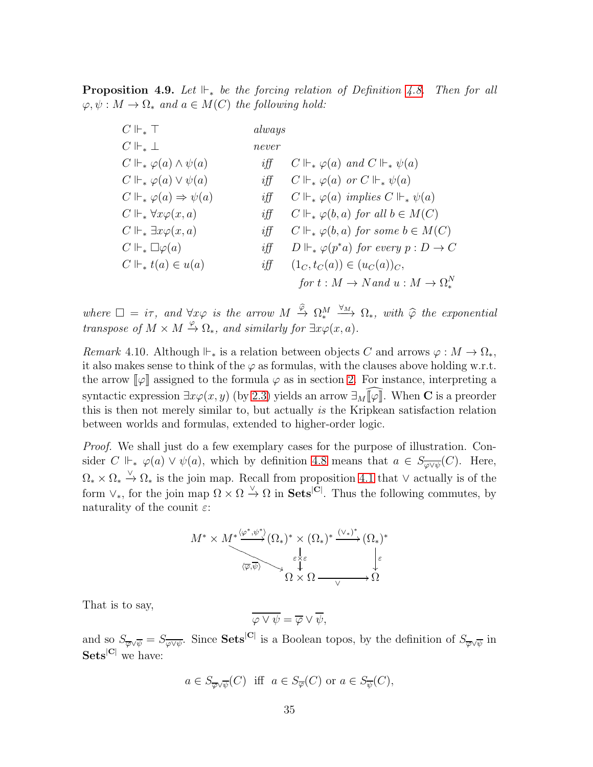**Proposition 4.9.** Let  $\Vdash_{*}$  be the forcing relation of Definition [4.8.](#page-33-2) Then for all  $\varphi, \psi : M \to \Omega_*$  and  $a \in M(C)$  the following hold:

| $C \Vdash_* \top$                           | always |                                                      |
|---------------------------------------------|--------|------------------------------------------------------|
| $C\Vdash_{*}\bot$                           | never  |                                                      |
| $C \Vdash_* \varphi(a) \wedge \psi(a)$      | if f   | $C \Vdash_* \varphi(a)$ and $C \Vdash_* \psi(a)$     |
| $C \Vdash_* \varphi(a) \vee \psi(a)$        | if f   | $C \Vdash_* \varphi(a)$ or $C \Vdash_* \psi(a)$      |
| $C \Vdash_* \varphi(a) \Rightarrow \psi(a)$ | if f   | $C \Vdash_* \varphi(a)$ implies $C \Vdash_* \psi(a)$ |
| $C \Vdash_* \forall x \varphi(x, a)$        | if f   | $C \Vdash_* \varphi(b, a)$ for all $b \in M(C)$      |
| $C \Vdash_* \exists x \varphi(x,a)$         | if f   | $C \Vdash_* \varphi(b, a)$ for some $b \in M(C)$     |
| $C \Vdash_{*} \Box \varphi(a)$              | if f   | $D \Vdash_* \varphi(p^*a)$ for every $p: D \to C$    |
| $C \Vdash_* t(a) \in u(a)$                  | if f   | $(1_C, t_C(a)) \in (u_C(a))_C,$                      |
|                                             |        | for $t: M \to N$ and $u: M \to \Omega_*^N$           |

where  $\square = i\tau$ , and  $\forall x \varphi$  is the arrow  $M \xrightarrow{\widehat{\varphi}} \Omega_*^M \xrightarrow{\forall_M} \Omega_*$ , with  $\widehat{\varphi}$  the exponential transpose of  $M \times M \stackrel{\varphi}{\to} \Omega_*$ , and similarly for  $\exists x \varphi(x, a)$ .

Remark 4.10. Although  $\Vdash_*$  is a relation between objects C and arrows  $\varphi : M \to \Omega_*,$ it also makes sense to think of the  $\varphi$  as formulas, with the clauses above holding w.r.t. the arrow  $\llbracket \varphi \rrbracket$  assigned to the formula  $\varphi$  as in section [2.](#page-11-1) For instance, interpreting a syntactic expression  $\exists x \varphi(x, y)$  (by [2.3\)](#page-14-0) yields an arrow  $\exists M$ [ $\varphi$ ]. When **C** is a preorder this is then not merely similar to, but actually is the Kripkean satisfaction relation between worlds and formulas, extended to higher-order logic.

Proof. We shall just do a few exemplary cases for the purpose of illustration. Consider C  $\mathbb{H}_{*} \varphi(a) \vee \psi(a)$ , which by definition [4.8](#page-33-2) means that  $a \in S_{\overline{\varphi \vee \psi}}(C)$ . Here,  $\Omega_* \times \Omega_* \overset{\vee}{\to} \Omega_*$  is the join map. Recall from proposition [4.1](#page-26-1) that  $\vee$  actually is of the form  $\vee_*$ , for the join map  $\Omega \times \Omega \stackrel{\vee}{\to} \Omega$  in **Sets**<sup>[C]</sup>. Thus the following commutes, by naturality of the counit  $\varepsilon$ :

$$
M^* \times M^* \xrightarrow{\langle \varphi^*, \psi^* \rangle} (\Omega_*)^* \times (\Omega_*)^* \xrightarrow{\langle \vee_* \rangle^*} (\Omega_*)^*
$$
  

$$
\overbrace{\langle \overline{\varphi}, \overline{\psi} \rangle}^{\varepsilon \downarrow \varepsilon} \times \Omega \xrightarrow{\langle \vee_* \rangle^*} \Omega
$$

That is to say,

$$
\overline{\varphi \vee \psi} = \overline{\varphi} \vee \overline{\psi},
$$

and so  $S_{\overline{\varphi}\vee\overline{\psi}}=S_{\overline{\varphi}\vee\overline{\psi}}$ . Since **Sets**<sup>|C|</sup> is a Boolean topos, by the definition of  $S_{\overline{\varphi}\vee\overline{\psi}}$  in Sets<sup>|C|</sup> we have:

$$
a \in S_{\overline{\varphi} \vee \overline{\psi}}(C)
$$
 iff  $a \in S_{\overline{\varphi}}(C)$  or  $a \in S_{\overline{\psi}}(C)$ ,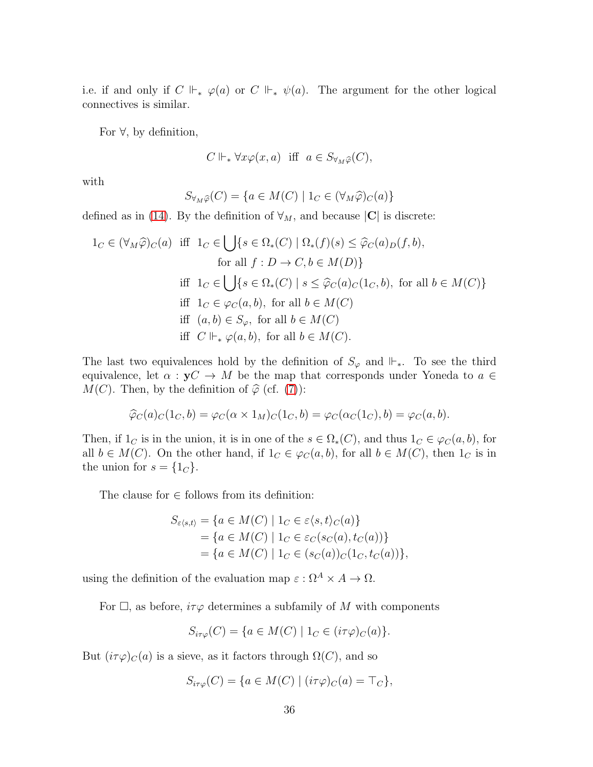i.e. if and only if  $C \Vdash_* \varphi(a)$  or  $C \Vdash_* \psi(a)$ . The argument for the other logical connectives is similar.

For ∀, by definition,

$$
C \Vdash_* \forall x \varphi(x, a) \ \text{ iff } \ a \in S_{\forall_M \widehat{\varphi}}(C),
$$

with

$$
S_{\forall M\widehat{\varphi}}(C) = \{ a \in M(C) \mid 1_C \in (\forall M\widehat{\varphi})_C(a) \}
$$

defined as in [\(14\)](#page-31-0). By the definition of  $\forall_M$ , and because  $|\mathbf{C}|$  is discrete:

$$
1_C \in (\forall_M \widehat{\varphi})_C(a) \text{ iff } 1_C \in \bigcup \{ s \in \Omega_*(C) \mid \Omega_*(f)(s) \le \widehat{\varphi}_C(a)_D(f, b),
$$
  
for all  $f : D \to C, b \in M(D) \}$   
iff  $1_C \in \bigcup \{ s \in \Omega_*(C) \mid s \le \widehat{\varphi}_C(a)_C(1_C, b), \text{ for all } b \in M(C) \}$   
iff  $1_C \in \varphi_C(a, b)$ , for all  $b \in M(C)$   
iff  $(a, b) \in S_{\varphi}$ , for all  $b \in M(C)$   
iff  $C \Vdash_{*} \varphi(a, b)$ , for all  $b \in M(C)$ .

The last two equivalences hold by the definition of  $S_{\varphi}$  and  $\Vdash_{*}$ . To see the third equivalence, let  $\alpha : yC \to M$  be the map that corresponds under Yoneda to  $a \in$  $M(C)$ . Then, by the definition of  $\hat{\varphi}$  (cf. [\(7\)](#page-21-1)):

$$
\widehat{\varphi}_C(a)_C(1_C,b)=\varphi_C(\alpha\times 1_M)_C(1_C,b)=\varphi_C(\alpha_C(1_C),b)=\varphi_C(a,b).
$$

Then, if  $1_C$  is in the union, it is in one of the  $s \in \Omega_*(C)$ , and thus  $1_C \in \varphi_C(a, b)$ , for all  $b \in M(C)$ . On the other hand, if  $1_C \in \varphi_C(a, b)$ , for all  $b \in M(C)$ , then  $1_C$  is in the union for  $s = \{1_C\}.$ 

The clause for  $\in$  follows from its definition:

$$
S_{\varepsilon\langle s,t\rangle} = \{a \in M(C) \mid 1_C \in \varepsilon\langle s,t\rangle_C(a)\}= \{a \in M(C) \mid 1_C \in \varepsilon_C(s_C(a), t_C(a))\}= \{a \in M(C) \mid 1_C \in (s_C(a))_C(1_C, t_C(a))\},\
$$

using the definition of the evaluation map  $\varepsilon : \Omega^A \times A \to \Omega$ .

For  $\Box$ , as before,  $i\tau\varphi$  determines a subfamily of M with components

$$
S_{i\tau\varphi}(C) = \{ a \in M(C) \mid 1_C \in (i\tau\varphi)_C(a) \}.
$$

But  $(i\tau\varphi)_C(a)$  is a sieve, as it factors through  $\Omega(C)$ , and so

$$
S_{i\tau\varphi}(C) = \{ a \in M(C) \mid (i\tau\varphi)_C(a) = \top_C \},
$$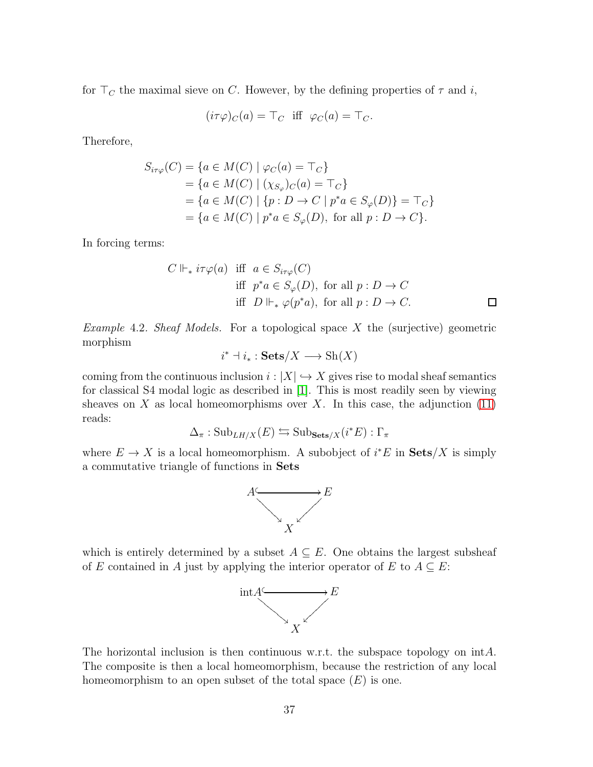for  $\top_C$  the maximal sieve on C. However, by the defining properties of  $\tau$  and i,

$$
(i\tau\varphi)_C(a) = \top_C \text{ iff } \varphi_C(a) = \top_C.
$$

Therefore,

$$
S_{i\tau\varphi}(C) = \{a \in M(C) \mid \varphi_C(a) = \top_C\}
$$
  
=  $\{a \in M(C) \mid (\chi_{S_{\varphi}})_{C}(a) = \top_C\}$   
=  $\{a \in M(C) \mid \{p : D \to C \mid p^*a \in S_{\varphi}(D)\} = \top_C\}$   
=  $\{a \in M(C) \mid p^*a \in S_{\varphi}(D), \text{ for all } p : D \to C\}.$ 

In forcing terms:

$$
C \Vdash_{*} i\tau\varphi(a) \text{ iff } a \in S_{i\tau\varphi}(C)
$$
  
iff  $p^*a \in S_{\varphi}(D)$ , for all  $p: D \to C$   
iff  $D \Vdash_{*} \varphi(p^*a)$ , for all  $p: D \to C$ .  $\square$ 

*Example 4.2. Sheaf Models.* For a topological space X the (surjective) geometric morphism

$$
i^* \dashv i_* : \mathbf{Sets}/X \longrightarrow \mathrm{Sh}(X)
$$

coming from the continuous inclusion  $i : |X| \hookrightarrow X$  gives rise to modal sheaf semantics for classical S4 modal logic as described in [\[1\]](#page-39-3). This is most readily seen by viewing sheaves on X as local homeomorphisms over X. In this case, the adjunction  $(11)$ reads:

$$
\Delta_{\pi} : \mathrm{Sub}_{LH/X}(E) \leftrightarrows \mathrm{Sub}_{\mathbf{Sets}/X}(i^*E) : \Gamma_{\pi}
$$

where  $E \to X$  is a local homeomorphism. A subobject of  $i^*E$  in  $\textbf{Sets}/X$  is simply a commutative triangle of functions in Sets



which is entirely determined by a subset  $A \subseteq E$ . One obtains the largest subsheaf of E contained in A just by applying the interior operator of E to  $A \subseteq E$ :



The horizontal inclusion is then continuous w.r.t. the subspace topology on intA. The composite is then a local homeomorphism, because the restriction of any local homeomorphism to an open subset of the total space  $(E)$  is one.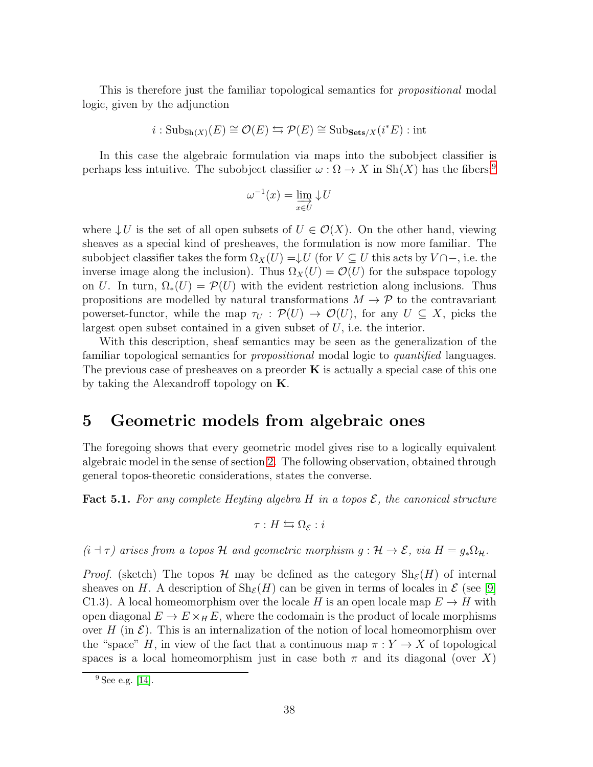This is therefore just the familiar topological semantics for *propositional* modal logic, given by the adjunction

$$
i: \text{Sub}_{\text{Sh}(X)}(E) \cong \mathcal{O}(E) \leftrightarrows \mathcal{P}(E) \cong \text{Sub}_{\text{Sets}/X}(i^*E) : \text{int}
$$

In this case the algebraic formulation via maps into the subobject classifier is perhaps less intuitive. The subobject classifier  $\omega : \Omega \to X$  in Sh $(X)$  has the fibers:<sup>[9](#page-37-1)</sup>

$$
\omega^{-1}(x) = \varinjlim_{x \in U} \downarrow U
$$

where  $\downarrow U$  is the set of all open subsets of  $U \in \mathcal{O}(X)$ . On the other hand, viewing sheaves as a special kind of presheaves, the formulation is now more familiar. The subobject classifier takes the form  $\Omega_X(U) = \downarrow U$  (for  $V \subseteq U$  this acts by  $V \cap \neg$ , i.e. the inverse image along the inclusion). Thus  $\Omega_X(U) = \mathcal{O}(U)$  for the subspace topology on U. In turn,  $\Omega_*(U) = \mathcal{P}(U)$  with the evident restriction along inclusions. Thus propositions are modelled by natural transformations  $M \to \mathcal{P}$  to the contravariant powerset-functor, while the map  $\tau_U : \mathcal{P}(U) \to \mathcal{O}(U)$ , for any  $U \subseteq X$ , picks the largest open subset contained in a given subset of  $U$ , i.e. the interior.

With this description, sheaf semantics may be seen as the generalization of the familiar topological semantics for *propositional* modal logic to *quantified* languages. The previous case of presheaves on a preorder  $\bf{K}$  is actually a special case of this one by taking the Alexandroff topology on K.

#### <span id="page-37-0"></span>5 Geometric models from algebraic ones

The foregoing shows that every geometric model gives rise to a logically equivalent algebraic model in the sense of section [2.](#page-11-1) The following observation, obtained through general topos-theoretic considerations, states the converse.

**Fact 5.1.** For any complete Heyting algebra H in a topos  $\mathcal{E}$ , the canonical structure

$$
\tau: H \leftrightarrows \Omega_{\mathcal{E}} : i
$$

 $(i + \tau)$  arises from a topos H and geometric morphism  $g: \mathcal{H} \to \mathcal{E}$ , via  $H = g_* \Omega_{\mathcal{H}}$ .

*Proof.* (sketch) The topos H may be defined as the category  $\text{Sh}_{\mathcal{E}}(H)$  of internal sheaves on H. A description of  $\text{Sh}_{\mathcal{E}}(H)$  can be given in terms of locales in  $\mathcal{E}$  (see [\[9\]](#page-40-7) C1.3). A local homeomorphism over the locale H is an open locale map  $E \to H$  with open diagonal  $E \to E \times_H E$ , where the codomain is the product of locale morphisms over H (in  $\mathcal E$ ). This is an internalization of the notion of local homeomorphism over the "space" H, in view of the fact that a continuous map  $\pi: Y \to X$  of topological spaces is a local homeomorphism just in case both  $\pi$  and its diagonal (over X)

<span id="page-37-1"></span><sup>9</sup> See e.g. [\[14\]](#page-40-9).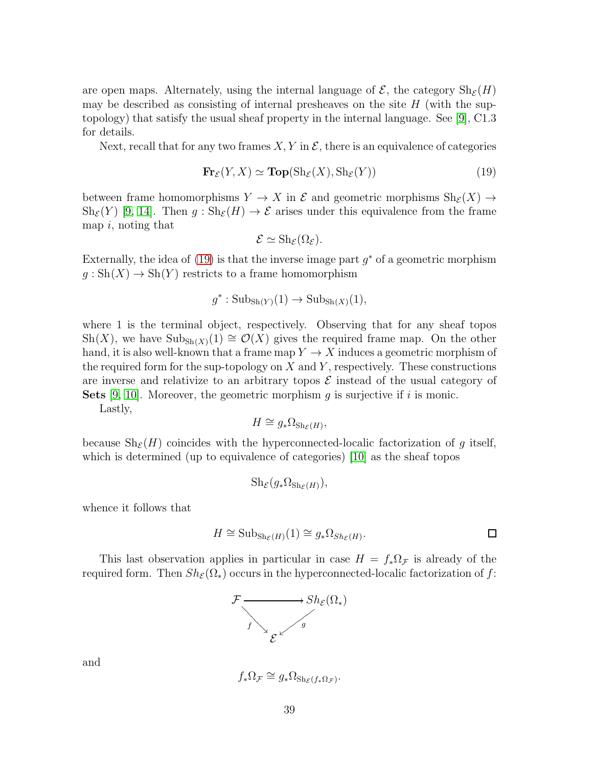are open maps. Alternately, using the internal language of  $\mathcal{E}$ , the category  $\text{Sh}_{\mathcal{E}}(H)$ may be described as consisting of internal presheaves on the site  $H$  (with the suptopology) that satisfy the usual sheaf property in the internal language. See [\[9\]](#page-40-7), C1.3 for details.

Next, recall that for any two frames  $X, Y$  in  $\mathcal{E}$ , there is an equivalence of categories

<span id="page-38-0"></span>
$$
\mathbf{Fr}_{\mathcal{E}}(Y, X) \simeq \mathbf{Top}(\mathrm{Sh}_{\mathcal{E}}(X), \mathrm{Sh}_{\mathcal{E}}(Y))
$$
\n(19)

between frame homomorphisms  $Y \to X$  in  $\mathcal E$  and geometric morphisms  $\text{Sh}_{\mathcal E}(X) \to$  $\text{Sh}_{\mathcal{E}}(Y)$  [\[9,](#page-40-7) [14\]](#page-40-9). Then  $g : \text{Sh}_{\mathcal{E}}(H) \to \mathcal{E}$  arises under this equivalence from the frame map  $i$ , noting that

$$
\mathcal{E} \simeq \mathrm{Sh}_{\mathcal{E}}(\Omega_{\mathcal{E}}).
$$

Externally, the idea of  $(19)$  is that the inverse image part  $g^*$  of a geometric morphism  $g: Sh(X) \to Sh(Y)$  restricts to a frame homomorphism

$$
g^*: \mathrm{Sub}_{\mathrm{Sh}(Y)}(1) \to \mathrm{Sub}_{\mathrm{Sh}(X)}(1),
$$

where 1 is the terminal object, respectively. Observing that for any sheaf topos Sh(X), we have  $\text{Sub}_{\text{Sh}(X)}(1) \cong \mathcal{O}(X)$  gives the required frame map. On the other hand, it is also well-known that a frame map  $Y \to X$  induces a geometric morphism of the required form for the sup-topology on  $X$  and  $Y$ , respectively. These constructions are inverse and relativize to an arbitrary topos  $\mathcal E$  instead of the usual category of **Sets** [\[9,](#page-40-7) [10\]](#page-40-8). Moreover, the geometric morphism q is surjective if i is monic.

Lastly,

$$
H \cong g_* \Omega_{\mathrm{Sh}_{\mathcal{E}}(H)},
$$

because  $\text{Sh}_{\mathcal{E}}(H)$  coincides with the hyperconnected-localic factorization of g itself, which is determined (up to equivalence of categories) [\[10\]](#page-40-8) as the sheaf topos

$$
\mathrm{Sh}_{\mathcal{E}}(g_* \Omega_{\mathrm{Sh}_{\mathcal{E}}(H)}),
$$

whence it follows that

$$
H \cong \mathrm{Sub}_{\mathrm{Sh}_{\mathcal{E}}(H)}(1) \cong g_* \Omega_{Sh_{\mathcal{E}}(H)}.
$$

This last observation applies in particular in case  $H = f_* \Omega_{\mathcal{F}}$  is already of the required form. Then  $Sh_{\mathcal{E}}(\Omega_*)$  occurs in the hyperconnected-localic factorization of f:



and

$$
f_*\Omega_{\mathcal{F}} \cong g_*\Omega_{\mathrm{Sh}_{\mathcal{E}}(f_*\Omega_{\mathcal{F}})}.
$$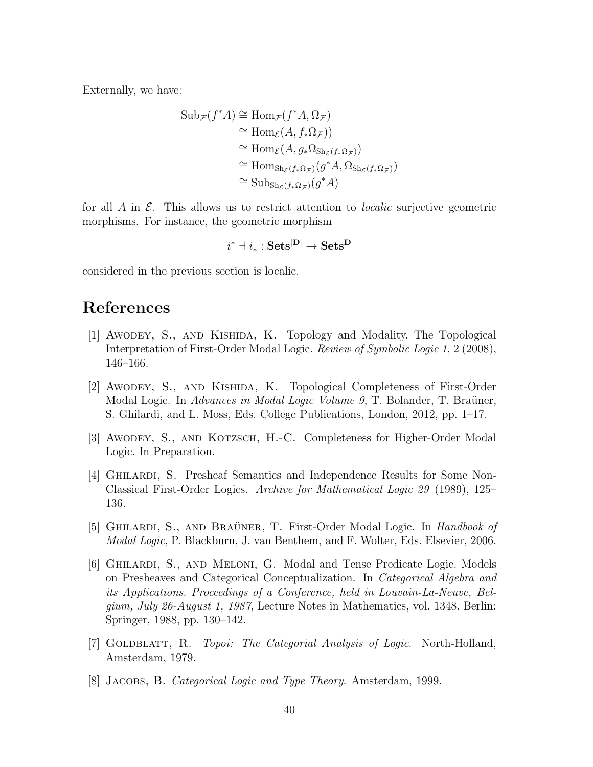Externally, we have:

$$
\text{Sub}_{\mathcal{F}}(f^*A) \cong \text{Hom}_{\mathcal{F}}(f^*A, \Omega_{\mathcal{F}})
$$
  
\n
$$
\cong \text{Hom}_{\mathcal{E}}(A, f_*\Omega_{\mathcal{F}}))
$$
  
\n
$$
\cong \text{Hom}_{\mathcal{E}}(A, g_*\Omega_{\text{Sh}_{\mathcal{E}}(f_*\Omega_{\mathcal{F}})})
$$
  
\n
$$
\cong \text{Hom}_{\text{Sh}_{\mathcal{E}}(f_*\Omega_{\mathcal{F}})}(g^*A, \Omega_{\text{Sh}_{\mathcal{E}}(f_*\Omega_{\mathcal{F}})})
$$
  
\n
$$
\cong \text{Sub}_{\text{Sh}_{\mathcal{E}}(f_*\Omega_{\mathcal{F}})}(g^*A)
$$

for all  $A$  in  $\mathcal{E}$ . This allows us to restrict attention to *localic* surjective geometric morphisms. For instance, the geometric morphism

$$
i^* \dashv i_* : \mathbf{Sets}^{|\mathbf{D}|} \to \mathbf{Sets}^\mathbf{D}
$$

considered in the previous section is localic.

## <span id="page-39-3"></span>References

- [1] Awodey, S., and Kishida, K. Topology and Modality. The Topological Interpretation of First-Order Modal Logic. Review of Symbolic Logic 1, 2 (2008), 146–166.
- <span id="page-39-6"></span>[2] Awodey, S., and Kishida, K. Topological Completeness of First-Order Modal Logic. In Advances in Modal Logic Volume 9, T. Bolander, T. Braüner, S. Ghilardi, and L. Moss, Eds. College Publications, London, 2012, pp. 1–17.
- <span id="page-39-5"></span><span id="page-39-1"></span>[3] AWODEY, S., AND KOTZSCH, H.-C. Completeness for Higher-Order Modal Logic. In Preparation.
- [4] Ghilardi, S. Presheaf Semantics and Independence Results for Some Non-Classical First-Order Logics. Archive for Mathematical Logic 29 (1989), 125– 136.
- <span id="page-39-4"></span>[5] GHILARDI, S., AND BRAÜNER, T. First-Order Modal Logic. In *Handbook of* Modal Logic, P. Blackburn, J. van Benthem, and F. Wolter, Eds. Elsevier, 2006.
- <span id="page-39-2"></span>[6] Ghilardi, S., and Meloni, G. Modal and Tense Predicate Logic. Models on Presheaves and Categorical Conceptualization. In Categorical Algebra and its Applications. Proceedings of a Conference, held in Louvain-La-Neuve, Belgium, July 26-August 1, 1987, Lecture Notes in Mathematics, vol. 1348. Berlin: Springer, 1988, pp. 130–142.
- <span id="page-39-0"></span>[7] GOLDBLATT, R. *Topoi: The Categorial Analysis of Logic*. North-Holland, Amsterdam, 1979.
- <span id="page-39-7"></span>[8] Jacobs, B. Categorical Logic and Type Theory. Amsterdam, 1999.